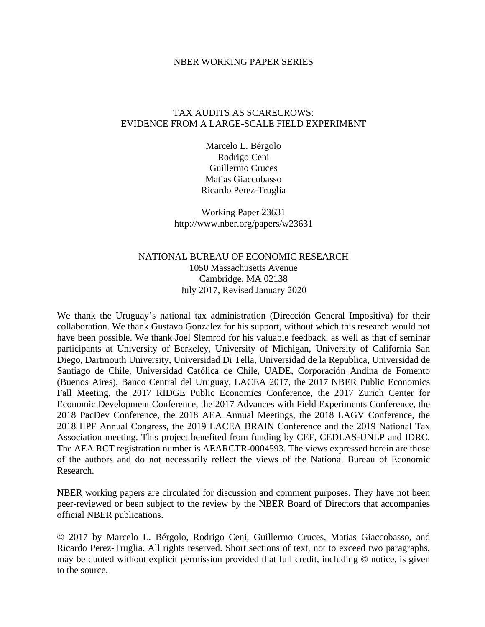#### NBER WORKING PAPER SERIES

### TAX AUDITS AS SCARECROWS: EVIDENCE FROM A LARGE-SCALE FIELD EXPERIMENT

Marcelo L. Bérgolo Rodrigo Ceni Guillermo Cruces Matias Giaccobasso Ricardo Perez-Truglia

Working Paper 23631 http://www.nber.org/papers/w23631

### NATIONAL BUREAU OF ECONOMIC RESEARCH 1050 Massachusetts Avenue Cambridge, MA 02138 July 2017, Revised January 2020

We thank the Uruguay's national tax administration (Dirección General Impositiva) for their collaboration. We thank Gustavo Gonzalez for his support, without which this research would not have been possible. We thank Joel Slemrod for his valuable feedback, as well as that of seminar participants at University of Berkeley, University of Michigan, University of California San Diego, Dartmouth University, Universidad Di Tella, Universidad de la Republica, Universidad de Santiago de Chile, Universidad Católica de Chile, UADE, Corporación Andina de Fomento (Buenos Aires), Banco Central del Uruguay, LACEA 2017, the 2017 NBER Public Economics Fall Meeting, the 2017 RIDGE Public Economics Conference, the 2017 Zurich Center for Economic Development Conference, the 2017 Advances with Field Experiments Conference, the 2018 PacDev Conference, the 2018 AEA Annual Meetings, the 2018 LAGV Conference, the 2018 IIPF Annual Congress, the 2019 LACEA BRAIN Conference and the 2019 National Tax Association meeting. This project benefited from funding by CEF, CEDLAS-UNLP and IDRC. The AEA RCT registration number is AEARCTR-0004593. The views expressed herein are those of the authors and do not necessarily reflect the views of the National Bureau of Economic Research.

NBER working papers are circulated for discussion and comment purposes. They have not been peer-reviewed or been subject to the review by the NBER Board of Directors that accompanies official NBER publications.

© 2017 by Marcelo L. Bérgolo, Rodrigo Ceni, Guillermo Cruces, Matias Giaccobasso, and Ricardo Perez-Truglia. All rights reserved. Short sections of text, not to exceed two paragraphs, may be quoted without explicit permission provided that full credit, including © notice, is given to the source.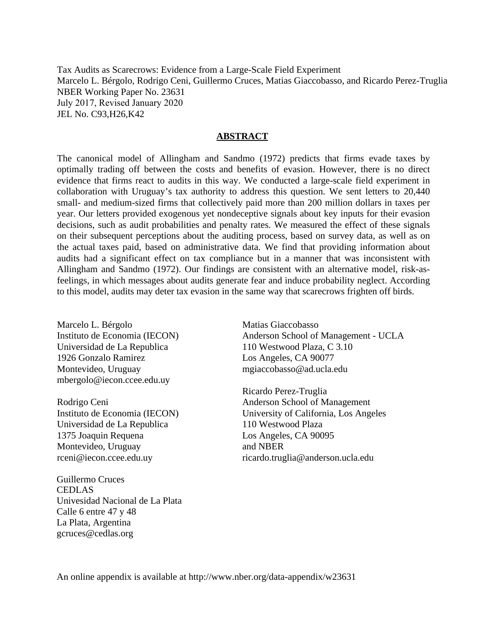Tax Audits as Scarecrows: Evidence from a Large-Scale Field Experiment Marcelo L. Bérgolo, Rodrigo Ceni, Guillermo Cruces, Matias Giaccobasso, and Ricardo Perez-Truglia NBER Working Paper No. 23631 July 2017, Revised January 2020 JEL No. C93,H26,K42

#### **ABSTRACT**

The canonical model of Allingham and Sandmo (1972) predicts that firms evade taxes by optimally trading off between the costs and benefits of evasion. However, there is no direct evidence that firms react to audits in this way. We conducted a large-scale field experiment in collaboration with Uruguay's tax authority to address this question. We sent letters to 20,440 small- and medium-sized firms that collectively paid more than 200 million dollars in taxes per year. Our letters provided exogenous yet nondeceptive signals about key inputs for their evasion decisions, such as audit probabilities and penalty rates. We measured the effect of these signals on their subsequent perceptions about the auditing process, based on survey data, as well as on the actual taxes paid, based on administrative data. We find that providing information about audits had a significant effect on tax compliance but in a manner that was inconsistent with Allingham and Sandmo (1972). Our findings are consistent with an alternative model, risk-asfeelings, in which messages about audits generate fear and induce probability neglect. According to this model, audits may deter tax evasion in the same way that scarecrows frighten off birds.

Marcelo L. Bérgolo Instituto de Economia (IECON) Universidad de La Republica 1926 Gonzalo Ramirez Montevideo, Uruguay mbergolo@iecon.ccee.edu.uy

Rodrigo Ceni Instituto de Economia (IECON) Universidad de La Republica 1375 Joaquin Requena Montevideo, Uruguay rceni@iecon.ccee.edu.uy

Guillermo Cruces CEDLAS Univesidad Nacional de La Plata Calle 6 entre 47 y 48 La Plata, Argentina gcruces@cedlas.org

Matias Giaccobasso Anderson School of Management - UCLA 110 Westwood Plaza, C 3.10 Los Angeles, CA 90077 mgiaccobasso@ad.ucla.edu

Ricardo Perez-Truglia Anderson School of Management University of California, Los Angeles 110 Westwood Plaza Los Angeles, CA 90095 and NBER ricardo.truglia@anderson.ucla.edu

An online appendix is available at http://www.nber.org/data-appendix/w23631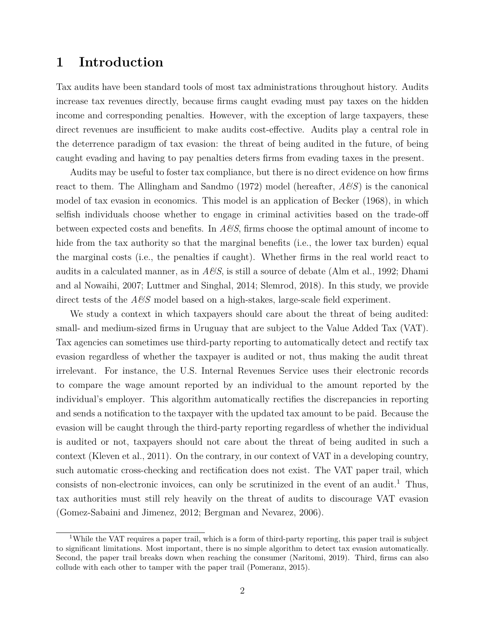### **1 Introduction**

Tax audits have been standard tools of most tax administrations throughout history. Audits increase tax revenues directly, because firms caught evading must pay taxes on the hidden income and corresponding penalties. However, with the exception of large taxpayers, these direct revenues are insufficient to make audits cost-effective. Audits play a central role in the deterrence paradigm of tax evasion: the threat of being audited in the future, of being caught evading and having to pay penalties deters firms from evading taxes in the present.

Audits may be useful to foster tax compliance, but there is no direct evidence on how firms react to them. The Allingham and Sandmo (1972) model (hereafter, *A&S*) is the canonical model of tax evasion in economics. This model is an application of Becker (1968), in which selfish individuals choose whether to engage in criminal activities based on the trade-off between expected costs and benefits. In *A&S*, firms choose the optimal amount of income to hide from the tax authority so that the marginal benefits (i.e., the lower tax burden) equal the marginal costs (i.e., the penalties if caught). Whether firms in the real world react to audits in a calculated manner, as in *A&S*, is still a source of debate (Alm et al., 1992; Dhami and al Nowaihi, 2007; Luttmer and Singhal, 2014; Slemrod, 2018). In this study, we provide direct tests of the  $A\mathscr{C}S$  model based on a high-stakes, large-scale field experiment.

We study a context in which taxpayers should care about the threat of being audited: small- and medium-sized firms in Uruguay that are subject to the Value Added Tax (VAT). Tax agencies can sometimes use third-party reporting to automatically detect and rectify tax evasion regardless of whether the taxpayer is audited or not, thus making the audit threat irrelevant. For instance, the U.S. Internal Revenues Service uses their electronic records to compare the wage amount reported by an individual to the amount reported by the individual's employer. This algorithm automatically rectifies the discrepancies in reporting and sends a notification to the taxpayer with the updated tax amount to be paid. Because the evasion will be caught through the third-party reporting regardless of whether the individual is audited or not, taxpayers should not care about the threat of being audited in such a context (Kleven et al., 2011). On the contrary, in our context of VAT in a developing country, such automatic cross-checking and rectification does not exist. The VAT paper trail, which consists of non-electronic invoices, can only be scrutinized in the event of an audit.<sup>1</sup> Thus, tax authorities must still rely heavily on the threat of audits to discourage VAT evasion (Gomez-Sabaini and Jimenez, 2012; Bergman and Nevarez, 2006).

<sup>&</sup>lt;sup>1</sup>While the VAT requires a paper trail, which is a form of third-party reporting, this paper trail is subject to significant limitations. Most important, there is no simple algorithm to detect tax evasion automatically. Second, the paper trail breaks down when reaching the consumer (Naritomi, 2019). Third, firms can also collude with each other to tamper with the paper trail (Pomeranz, 2015).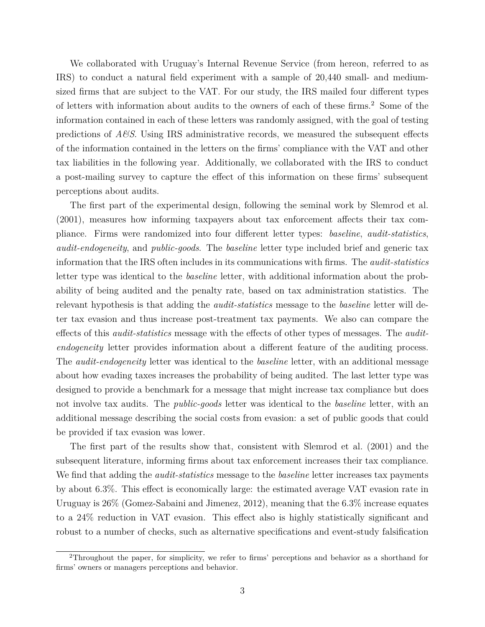We collaborated with Uruguay's Internal Revenue Service (from hereon, referred to as IRS) to conduct a natural field experiment with a sample of 20,440 small- and mediumsized firms that are subject to the VAT. For our study, the IRS mailed four different types of letters with information about audits to the owners of each of these firms.<sup>2</sup> Some of the information contained in each of these letters was randomly assigned, with the goal of testing predictions of *A&S*. Using IRS administrative records, we measured the subsequent effects of the information contained in the letters on the firms' compliance with the VAT and other tax liabilities in the following year. Additionally, we collaborated with the IRS to conduct a post-mailing survey to capture the effect of this information on these firms' subsequent perceptions about audits.

The first part of the experimental design, following the seminal work by Slemrod et al. (2001), measures how informing taxpayers about tax enforcement affects their tax compliance. Firms were randomized into four different letter types: *baseline*, *audit-statistics*, *audit-endogeneity*, and *public-goods*. The *baseline* letter type included brief and generic tax information that the IRS often includes in its communications with firms. The *audit-statistics* letter type was identical to the *baseline* letter, with additional information about the probability of being audited and the penalty rate, based on tax administration statistics. The relevant hypothesis is that adding the *audit-statistics* message to the *baseline* letter will deter tax evasion and thus increase post-treatment tax payments. We also can compare the effects of this *audit-statistics* message with the effects of other types of messages. The *auditendogeneity* letter provides information about a different feature of the auditing process. The *audit-endogeneity* letter was identical to the *baseline* letter, with an additional message about how evading taxes increases the probability of being audited. The last letter type was designed to provide a benchmark for a message that might increase tax compliance but does not involve tax audits. The *public-goods* letter was identical to the *baseline* letter, with an additional message describing the social costs from evasion: a set of public goods that could be provided if tax evasion was lower.

The first part of the results show that, consistent with Slemrod et al. (2001) and the subsequent literature, informing firms about tax enforcement increases their tax compliance. We find that adding the *audit-statistics* message to the *baseline* letter increases tax payments by about 6.3%. This effect is economically large: the estimated average VAT evasion rate in Uruguay is 26% (Gomez-Sabaini and Jimenez, 2012), meaning that the 6.3% increase equates to a 24% reduction in VAT evasion. This effect also is highly statistically significant and robust to a number of checks, such as alternative specifications and event-study falsification

<sup>&</sup>lt;sup>2</sup>Throughout the paper, for simplicity, we refer to firms' perceptions and behavior as a shorthand for firms' owners or managers perceptions and behavior.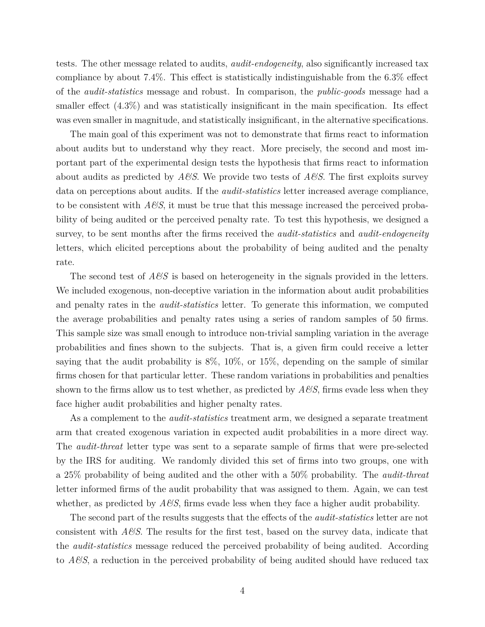tests. The other message related to audits, *audit-endogeneity*, also significantly increased tax compliance by about 7.4%. This effect is statistically indistinguishable from the 6.3% effect of the *audit-statistics* message and robust. In comparison, the *public-goods* message had a smaller effect (4.3%) and was statistically insignificant in the main specification. Its effect was even smaller in magnitude, and statistically insignificant, in the alternative specifications.

The main goal of this experiment was not to demonstrate that firms react to information about audits but to understand why they react. More precisely, the second and most important part of the experimental design tests the hypothesis that firms react to information about audits as predicted by *A&S*. We provide two tests of *A&S*. The first exploits survey data on perceptions about audits. If the *audit-statistics* letter increased average compliance, to be consistent with  $A\mathscr{B}S$ , it must be true that this message increased the perceived probability of being audited or the perceived penalty rate. To test this hypothesis, we designed a survey, to be sent months after the firms received the *audit-statistics* and *audit-endogeneity* letters, which elicited perceptions about the probability of being audited and the penalty rate.

The second test of *A&S* is based on heterogeneity in the signals provided in the letters. We included exogenous, non-deceptive variation in the information about audit probabilities and penalty rates in the *audit-statistics* letter. To generate this information, we computed the average probabilities and penalty rates using a series of random samples of 50 firms. This sample size was small enough to introduce non-trivial sampling variation in the average probabilities and fines shown to the subjects. That is, a given firm could receive a letter saying that the audit probability is 8%, 10%, or 15%, depending on the sample of similar firms chosen for that particular letter. These random variations in probabilities and penalties shown to the firms allow us to test whether, as predicted by *A&S*, firms evade less when they face higher audit probabilities and higher penalty rates.

As a complement to the *audit-statistics* treatment arm, we designed a separate treatment arm that created exogenous variation in expected audit probabilities in a more direct way. The *audit-threat* letter type was sent to a separate sample of firms that were pre-selected by the IRS for auditing. We randomly divided this set of firms into two groups, one with a 25% probability of being audited and the other with a 50% probability. The *audit-threat* letter informed firms of the audit probability that was assigned to them. Again, we can test whether, as predicted by *A&S*, firms evade less when they face a higher audit probability.

The second part of the results suggests that the effects of the *audit-statistics* letter are not consistent with *A&S*. The results for the first test, based on the survey data, indicate that the *audit-statistics* message reduced the perceived probability of being audited. According to *A&S*, a reduction in the perceived probability of being audited should have reduced tax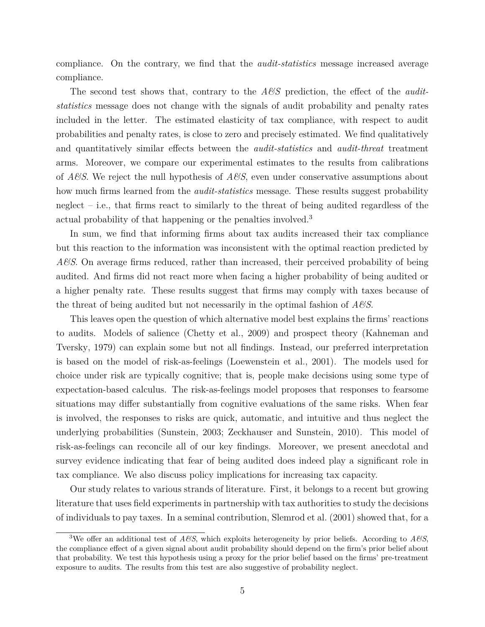compliance. On the contrary, we find that the *audit-statistics* message increased average compliance.

The second test shows that, contrary to the *A&S* prediction, the effect of the *auditstatistics* message does not change with the signals of audit probability and penalty rates included in the letter. The estimated elasticity of tax compliance, with respect to audit probabilities and penalty rates, is close to zero and precisely estimated. We find qualitatively and quantitatively similar effects between the *audit-statistics* and *audit-threat* treatment arms. Moreover, we compare our experimental estimates to the results from calibrations of *A&S*. We reject the null hypothesis of *A&S*, even under conservative assumptions about how much firms learned from the *audit-statistics* message. These results suggest probability neglect  $-$  i.e., that firms react to similarly to the threat of being audited regardless of the actual probability of that happening or the penalties involved.<sup>3</sup>

In sum, we find that informing firms about tax audits increased their tax compliance but this reaction to the information was inconsistent with the optimal reaction predicted by *A&S*. On average firms reduced, rather than increased, their perceived probability of being audited. And firms did not react more when facing a higher probability of being audited or a higher penalty rate. These results suggest that firms may comply with taxes because of the threat of being audited but not necessarily in the optimal fashion of *A&S*.

This leaves open the question of which alternative model best explains the firms' reactions to audits. Models of salience (Chetty et al., 2009) and prospect theory (Kahneman and Tversky, 1979) can explain some but not all findings. Instead, our preferred interpretation is based on the model of risk-as-feelings (Loewenstein et al., 2001). The models used for choice under risk are typically cognitive; that is, people make decisions using some type of expectation-based calculus. The risk-as-feelings model proposes that responses to fearsome situations may differ substantially from cognitive evaluations of the same risks. When fear is involved, the responses to risks are quick, automatic, and intuitive and thus neglect the underlying probabilities (Sunstein, 2003; Zeckhauser and Sunstein, 2010). This model of risk-as-feelings can reconcile all of our key findings. Moreover, we present anecdotal and survey evidence indicating that fear of being audited does indeed play a significant role in tax compliance. We also discuss policy implications for increasing tax capacity.

Our study relates to various strands of literature. First, it belongs to a recent but growing literature that uses field experiments in partnership with tax authorities to study the decisions of individuals to pay taxes. In a seminal contribution, Slemrod et al. (2001) showed that, for a

<sup>&</sup>lt;sup>3</sup>We offer an additional test of  $A\mathcal{B}S$ , which exploits heterogeneity by prior beliefs. According to  $A\mathcal{B}S$ , the compliance effect of a given signal about audit probability should depend on the firm's prior belief about that probability. We test this hypothesis using a proxy for the prior belief based on the firms' pre-treatment exposure to audits. The results from this test are also suggestive of probability neglect.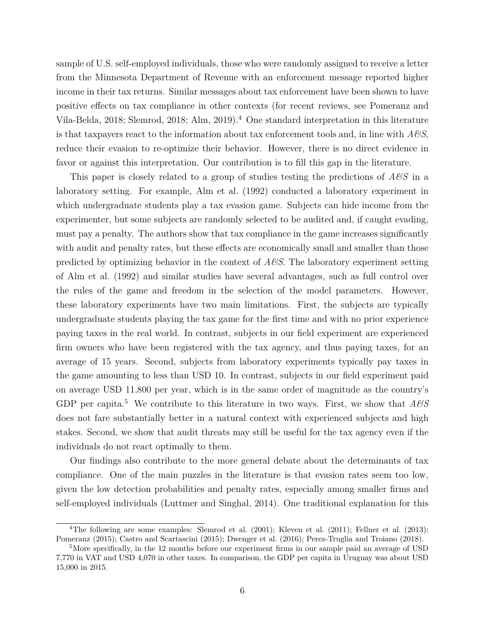sample of U.S. self-employed individuals, those who were randomly assigned to receive a letter from the Minnesota Department of Revenue with an enforcement message reported higher income in their tax returns. Similar messages about tax enforcement have been shown to have positive effects on tax compliance in other contexts (for recent reviews, see Pomeranz and Vila-Belda, 2018; Slemrod, 2018; Alm, 2019).<sup>4</sup> One standard interpretation in this literature is that taxpayers react to the information about tax enforcement tools and, in line with *A&S*, reduce their evasion to re-optimize their behavior. However, there is no direct evidence in favor or against this interpretation. Our contribution is to fill this gap in the literature.

This paper is closely related to a group of studies testing the predictions of *A&S* in a laboratory setting. For example, Alm et al. (1992) conducted a laboratory experiment in which undergraduate students play a tax evasion game. Subjects can hide income from the experimenter, but some subjects are randomly selected to be audited and, if caught evading, must pay a penalty. The authors show that tax compliance in the game increases significantly with audit and penalty rates, but these effects are economically small and smaller than those predicted by optimizing behavior in the context of *A&S*. The laboratory experiment setting of Alm et al. (1992) and similar studies have several advantages, such as full control over the rules of the game and freedom in the selection of the model parameters. However, these laboratory experiments have two main limitations. First, the subjects are typically undergraduate students playing the tax game for the first time and with no prior experience paying taxes in the real world. In contrast, subjects in our field experiment are experienced firm owners who have been registered with the tax agency, and thus paying taxes, for an average of 15 years. Second, subjects from laboratory experiments typically pay taxes in the game amounting to less than USD 10. In contrast, subjects in our field experiment paid on average USD 11,800 per year, which is in the same order of magnitude as the country's GDP per capita.<sup>5</sup> We contribute to this literature in two ways. First, we show that  $A\mathscr{C}S$ does not fare substantially better in a natural context with experienced subjects and high stakes. Second, we show that audit threats may still be useful for the tax agency even if the individuals do not react optimally to them.

Our findings also contribute to the more general debate about the determinants of tax compliance. One of the main puzzles in the literature is that evasion rates seem too low, given the low detection probabilities and penalty rates, especially among smaller firms and self-employed individuals (Luttmer and Singhal, 2014). One traditional explanation for this

<sup>4</sup>The following are some examples: Slemrod et al. (2001); Kleven et al. (2011); Fellner et al. (2013); Pomeranz (2015); Castro and Scartascini (2015); Dwenger et al. (2016); Perez-Truglia and Troiano (2018).

<sup>&</sup>lt;sup>5</sup>More specifically, in the 12 months before our experiment firms in our sample paid an average of USD 7,770 in VAT and USD 4,070 in other taxes. In comparison, the GDP per capita in Uruguay was about USD 15,000 in 2015.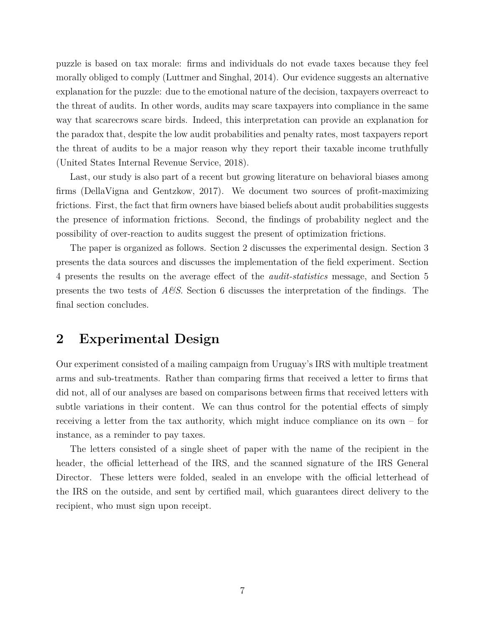puzzle is based on tax morale: firms and individuals do not evade taxes because they feel morally obliged to comply (Luttmer and Singhal, 2014). Our evidence suggests an alternative explanation for the puzzle: due to the emotional nature of the decision, taxpayers overreact to the threat of audits. In other words, audits may scare taxpayers into compliance in the same way that scarecrows scare birds. Indeed, this interpretation can provide an explanation for the paradox that, despite the low audit probabilities and penalty rates, most taxpayers report the threat of audits to be a major reason why they report their taxable income truthfully (United States Internal Revenue Service, 2018).

Last, our study is also part of a recent but growing literature on behavioral biases among firms (DellaVigna and Gentzkow, 2017). We document two sources of profit-maximizing frictions. First, the fact that firm owners have biased beliefs about audit probabilities suggests the presence of information frictions. Second, the findings of probability neglect and the possibility of over-reaction to audits suggest the present of optimization frictions.

The paper is organized as follows. Section 2 discusses the experimental design. Section 3 presents the data sources and discusses the implementation of the field experiment. Section 4 presents the results on the average effect of the *audit-statistics* message, and Section 5 presents the two tests of *A&S*. Section 6 discusses the interpretation of the findings. The final section concludes.

### **2 Experimental Design**

Our experiment consisted of a mailing campaign from Uruguay's IRS with multiple treatment arms and sub-treatments. Rather than comparing firms that received a letter to firms that did not, all of our analyses are based on comparisons between firms that received letters with subtle variations in their content. We can thus control for the potential effects of simply receiving a letter from the tax authority, which might induce compliance on its own – for instance, as a reminder to pay taxes.

The letters consisted of a single sheet of paper with the name of the recipient in the header, the official letterhead of the IRS, and the scanned signature of the IRS General Director. These letters were folded, sealed in an envelope with the official letterhead of the IRS on the outside, and sent by certified mail, which guarantees direct delivery to the recipient, who must sign upon receipt.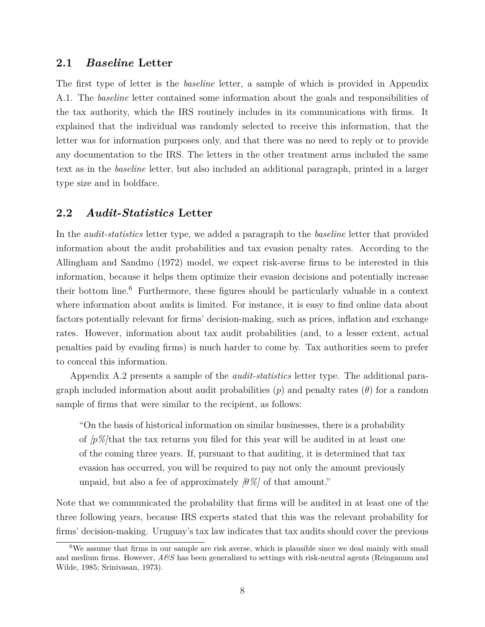### **2.1** *Baseline* **Letter**

The first type of letter is the *baseline* letter, a sample of which is provided in Appendix A.1. The *baseline* letter contained some information about the goals and responsibilities of the tax authority, which the IRS routinely includes in its communications with firms. It explained that the individual was randomly selected to receive this information, that the letter was for information purposes only, and that there was no need to reply or to provide any documentation to the IRS. The letters in the other treatment arms included the same text as in the *baseline* letter, but also included an additional paragraph, printed in a larger type size and in boldface.

### **2.2** *Audit-Statistics* **Letter**

In the *audit-statistics* letter type, we added a paragraph to the *baseline* letter that provided information about the audit probabilities and tax evasion penalty rates. According to the Allingham and Sandmo (1972) model, we expect risk-averse firms to be interested in this information, because it helps them optimize their evasion decisions and potentially increase their bottom line.<sup>6</sup> Furthermore, these figures should be particularly valuable in a context where information about audits is limited. For instance, it is easy to find online data about factors potentially relevant for firms' decision-making, such as prices, inflation and exchange rates. However, information about tax audit probabilities (and, to a lesser extent, actual penalties paid by evading firms) is much harder to come by. Tax authorities seem to prefer to conceal this information.

Appendix A.2 presents a sample of the *audit-statistics* letter type. The additional paragraph included information about audit probabilities (*p*) and penalty rates (*θ*) for a random sample of firms that were similar to the recipient, as follows:

"On the basis of historical information on similar businesses, there is a probability of *[p%]*that the tax returns you filed for this year will be audited in at least one of the coming three years. If, pursuant to that auditing, it is determined that tax evasion has occurred, you will be required to pay not only the amount previously unpaid, but also a fee of approximately  $\beta\%$  of that amount."

Note that we communicated the probability that firms will be audited in at least one of the three following years, because IRS experts stated that this was the relevant probability for firms' decision-making. Uruguay's tax law indicates that tax audits should cover the previous

 $6W$ e assume that firms in our sample are risk averse, which is plausible since we deal mainly with small and medium firms. However, *A&S* has been generalized to settings with risk-neutral agents (Reinganum and Wilde, 1985; Srinivasan, 1973).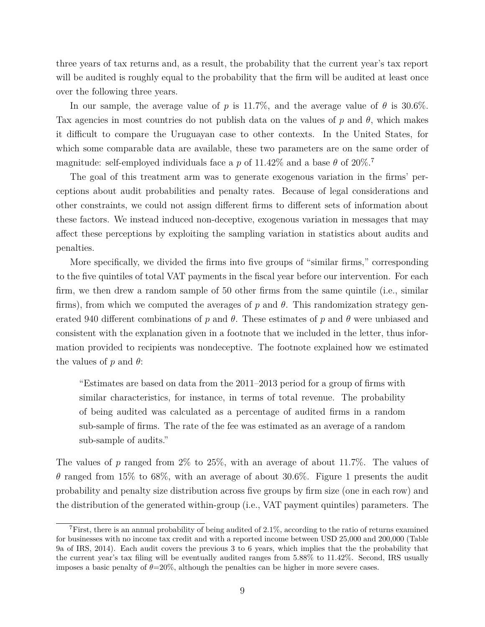three years of tax returns and, as a result, the probability that the current year's tax report will be audited is roughly equal to the probability that the firm will be audited at least once over the following three years.

In our sample, the average value of *p* is 11.7%, and the average value of  $\theta$  is 30.6%. Tax agencies in most countries do not publish data on the values of *p* and *θ*, which makes it difficult to compare the Uruguayan case to other contexts. In the United States, for which some comparable data are available, these two parameters are on the same order of magnitude: self-employed individuals face a *p* of 11.42% and a base  $\theta$  of 20%.<sup>7</sup>

The goal of this treatment arm was to generate exogenous variation in the firms' perceptions about audit probabilities and penalty rates. Because of legal considerations and other constraints, we could not assign different firms to different sets of information about these factors. We instead induced non-deceptive, exogenous variation in messages that may affect these perceptions by exploiting the sampling variation in statistics about audits and penalties.

More specifically, we divided the firms into five groups of "similar firms," corresponding to the five quintiles of total VAT payments in the fiscal year before our intervention. For each firm, we then drew a random sample of 50 other firms from the same quintile (i.e., similar firms), from which we computed the averages of *p* and *θ*. This randomization strategy generated 940 different combinations of  $p$  and  $\theta$ . These estimates of  $p$  and  $\theta$  were unbiased and consistent with the explanation given in a footnote that we included in the letter, thus information provided to recipients was nondeceptive. The footnote explained how we estimated the values of *p* and *θ*:

"Estimates are based on data from the 2011–2013 period for a group of firms with similar characteristics, for instance, in terms of total revenue. The probability of being audited was calculated as a percentage of audited firms in a random sub-sample of firms. The rate of the fee was estimated as an average of a random sub-sample of audits."

The values of *p* ranged from 2% to 25%, with an average of about 11.7%. The values of *θ* ranged from 15% to 68%, with an average of about 30.6%. Figure 1 presents the audit probability and penalty size distribution across five groups by firm size (one in each row) and the distribution of the generated within-group (i.e., VAT payment quintiles) parameters. The

<sup>7</sup>First, there is an annual probability of being audited of 2.1%, according to the ratio of returns examined for businesses with no income tax credit and with a reported income between USD 25,000 and 200,000 (Table 9a of IRS, 2014). Each audit covers the previous 3 to 6 years, which implies that the the probability that the current year's tax filing will be eventually audited ranges from 5.88% to 11.42%. Second, IRS usually imposes a basic penalty of  $\theta = 20\%$ , although the penalties can be higher in more severe cases.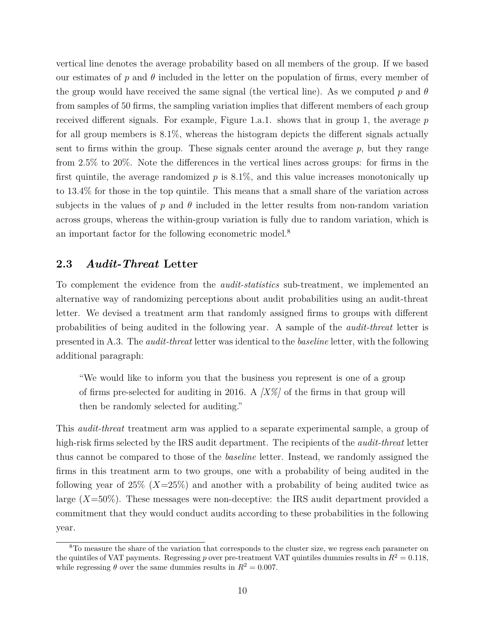vertical line denotes the average probability based on all members of the group. If we based our estimates of  $p$  and  $\theta$  included in the letter on the population of firms, every member of the group would have received the same signal (the vertical line). As we computed *p* and *θ* from samples of 50 firms, the sampling variation implies that different members of each group received different signals. For example, Figure 1.a.1. shows that in group 1, the average *p* for all group members is 8.1%, whereas the histogram depicts the different signals actually sent to firms within the group. These signals center around the average  $p$ , but they range from 2.5% to 20%. Note the differences in the vertical lines across groups: for firms in the first quintile, the average randomized  $p$  is  $8.1\%$ , and this value increases monotonically up to 13.4% for those in the top quintile. This means that a small share of the variation across subjects in the values of  $p$  and  $\theta$  included in the letter results from non-random variation across groups, whereas the within-group variation is fully due to random variation, which is an important factor for the following econometric model.<sup>8</sup>

### **2.3** *Audit-Threat* **Letter**

To complement the evidence from the *audit-statistics* sub-treatment, we implemented an alternative way of randomizing perceptions about audit probabilities using an audit-threat letter. We devised a treatment arm that randomly assigned firms to groups with different probabilities of being audited in the following year. A sample of the *audit-threat* letter is presented in A.3. The *audit-threat* letter was identical to the *baseline* letter, with the following additional paragraph:

"We would like to inform you that the business you represent is one of a group of firms pre-selected for auditing in 2016. A *[X%]* of the firms in that group will then be randomly selected for auditing."

This *audit-threat* treatment arm was applied to a separate experimental sample, a group of high-risk firms selected by the IRS audit department. The recipients of the *audit-threat* letter thus cannot be compared to those of the *baseline* letter. Instead, we randomly assigned the firms in this treatment arm to two groups, one with a probability of being audited in the following year of 25% (*X*=25%) and another with a probability of being audited twice as large (*X*=50%). These messages were non-deceptive: the IRS audit department provided a commitment that they would conduct audits according to these probabilities in the following year.

<sup>&</sup>lt;sup>8</sup>To measure the share of the variation that corresponds to the cluster size, we regress each parameter on the quintiles of VAT payments. Regressing *p* over pre-treatment VAT quintiles dummies results in  $R^2 = 0.118$ , while regressing  $\theta$  over the same dummies results in  $R^2 = 0.007$ .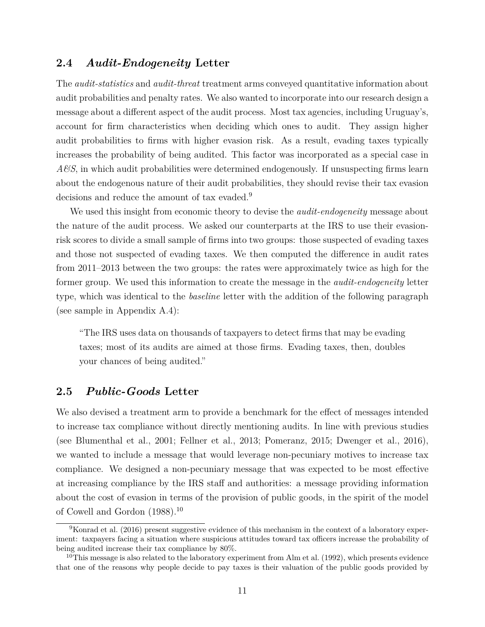### **2.4** *Audit-Endogeneity* **Letter**

The *audit-statistics* and *audit-threat* treatment arms conveyed quantitative information about audit probabilities and penalty rates. We also wanted to incorporate into our research design a message about a different aspect of the audit process. Most tax agencies, including Uruguay's, account for firm characteristics when deciding which ones to audit. They assign higher audit probabilities to firms with higher evasion risk. As a result, evading taxes typically increases the probability of being audited. This factor was incorporated as a special case in *A&S*, in which audit probabilities were determined endogenously. If unsuspecting firms learn about the endogenous nature of their audit probabilities, they should revise their tax evasion decisions and reduce the amount of tax evaded.<sup>9</sup>

We used this insight from economic theory to devise the *audit-endogeneity* message about the nature of the audit process. We asked our counterparts at the IRS to use their evasionrisk scores to divide a small sample of firms into two groups: those suspected of evading taxes and those not suspected of evading taxes. We then computed the difference in audit rates from 2011–2013 between the two groups: the rates were approximately twice as high for the former group. We used this information to create the message in the *audit-endogeneity* letter type, which was identical to the *baseline* letter with the addition of the following paragraph (see sample in Appendix A.4):

"The IRS uses data on thousands of taxpayers to detect firms that may be evading taxes; most of its audits are aimed at those firms. Evading taxes, then, doubles your chances of being audited."

### **2.5** *Public-Goods* **Letter**

We also devised a treatment arm to provide a benchmark for the effect of messages intended to increase tax compliance without directly mentioning audits. In line with previous studies (see Blumenthal et al., 2001; Fellner et al., 2013; Pomeranz, 2015; Dwenger et al., 2016), we wanted to include a message that would leverage non-pecuniary motives to increase tax compliance. We designed a non-pecuniary message that was expected to be most effective at increasing compliance by the IRS staff and authorities: a message providing information about the cost of evasion in terms of the provision of public goods, in the spirit of the model of Cowell and Gordon (1988).<sup>10</sup>

<sup>9</sup>Konrad et al. (2016) present suggestive evidence of this mechanism in the context of a laboratory experiment: taxpayers facing a situation where suspicious attitudes toward tax officers increase the probability of being audited increase their tax compliance by 80%.

<sup>&</sup>lt;sup>10</sup>This message is also related to the laboratory experiment from Alm et al. (1992), which presents evidence that one of the reasons why people decide to pay taxes is their valuation of the public goods provided by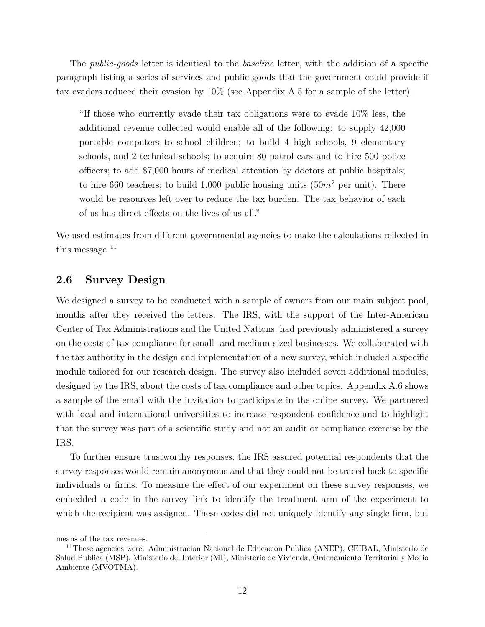The *public-goods* letter is identical to the *baseline* letter, with the addition of a specific paragraph listing a series of services and public goods that the government could provide if tax evaders reduced their evasion by 10% (see Appendix A.5 for a sample of the letter):

"If those who currently evade their tax obligations were to evade 10% less, the additional revenue collected would enable all of the following: to supply 42,000 portable computers to school children; to build 4 high schools, 9 elementary schools, and 2 technical schools; to acquire 80 patrol cars and to hire 500 police officers; to add 87,000 hours of medical attention by doctors at public hospitals; to hire 660 teachers; to build 1,000 public housing units  $(50<sup>m2</sup>$  per unit). There would be resources left over to reduce the tax burden. The tax behavior of each of us has direct effects on the lives of us all."

We used estimates from different governmental agencies to make the calculations reflected in this message. $11$ 

### **2.6 Survey Design**

We designed a survey to be conducted with a sample of owners from our main subject pool, months after they received the letters. The IRS, with the support of the Inter-American Center of Tax Administrations and the United Nations, had previously administered a survey on the costs of tax compliance for small- and medium-sized businesses. We collaborated with the tax authority in the design and implementation of a new survey, which included a specific module tailored for our research design. The survey also included seven additional modules, designed by the IRS, about the costs of tax compliance and other topics. Appendix A.6 shows a sample of the email with the invitation to participate in the online survey. We partnered with local and international universities to increase respondent confidence and to highlight that the survey was part of a scientific study and not an audit or compliance exercise by the IRS.

To further ensure trustworthy responses, the IRS assured potential respondents that the survey responses would remain anonymous and that they could not be traced back to specific individuals or firms. To measure the effect of our experiment on these survey responses, we embedded a code in the survey link to identify the treatment arm of the experiment to which the recipient was assigned. These codes did not uniquely identify any single firm, but

means of the tax revenues.

<sup>11</sup>These agencies were: Administracion Nacional de Educacion Publica (ANEP), CEIBAL, Ministerio de Salud Publica (MSP), Ministerio del Interior (MI), Ministerio de Vivienda, Ordenamiento Territorial y Medio Ambiente (MVOTMA).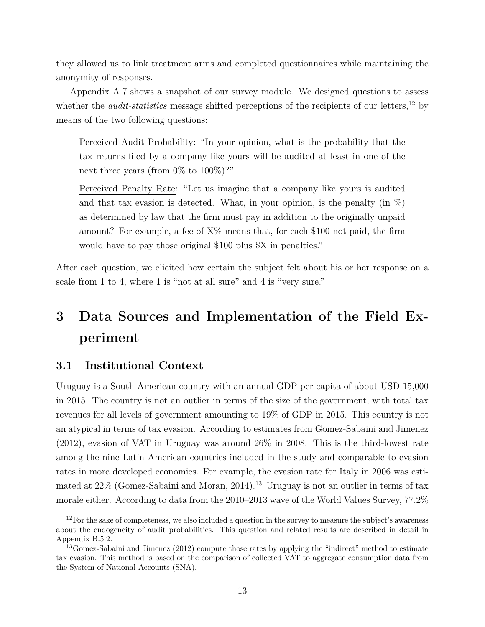they allowed us to link treatment arms and completed questionnaires while maintaining the anonymity of responses.

Appendix A.7 shows a snapshot of our survey module. We designed questions to assess whether the *audit-statistics* message shifted perceptions of the recipients of our letters,<sup>12</sup> by means of the two following questions:

Perceived Audit Probability: "In your opinion, what is the probability that the tax returns filed by a company like yours will be audited at least in one of the next three years (from  $0\%$  to  $100\%)$ ?"

Perceived Penalty Rate: "Let us imagine that a company like yours is audited and that tax evasion is detected. What, in your opinion, is the penalty (in  $\%$ ) as determined by law that the firm must pay in addition to the originally unpaid amount? For example, a fee of  $X\%$  means that, for each \$100 not paid, the firm would have to pay those original \$100 plus \$X in penalties."

After each question, we elicited how certain the subject felt about his or her response on a scale from 1 to 4, where 1 is "not at all sure" and 4 is "very sure."

# **3 Data Sources and Implementation of the Field Experiment**

### **3.1 Institutional Context**

Uruguay is a South American country with an annual GDP per capita of about USD 15,000 in 2015. The country is not an outlier in terms of the size of the government, with total tax revenues for all levels of government amounting to 19% of GDP in 2015. This country is not an atypical in terms of tax evasion. According to estimates from Gomez-Sabaini and Jimenez (2012), evasion of VAT in Uruguay was around 26% in 2008. This is the third-lowest rate among the nine Latin American countries included in the study and comparable to evasion rates in more developed economies. For example, the evasion rate for Italy in 2006 was estimated at  $22\%$  (Gomez-Sabaini and Moran, 2014).<sup>13</sup> Uruguay is not an outlier in terms of tax morale either. According to data from the 2010–2013 wave of the World Values Survey, 77.2%

 $12$ For the sake of completeness, we also included a question in the survey to measure the subject's awareness about the endogeneity of audit probabilities. This question and related results are described in detail in Appendix B.5.2.

<sup>&</sup>lt;sup>13</sup>Gomez-Sabaini and Jimenez (2012) compute those rates by applying the "indirect" method to estimate tax evasion. This method is based on the comparison of collected VAT to aggregate consumption data from the System of National Accounts (SNA).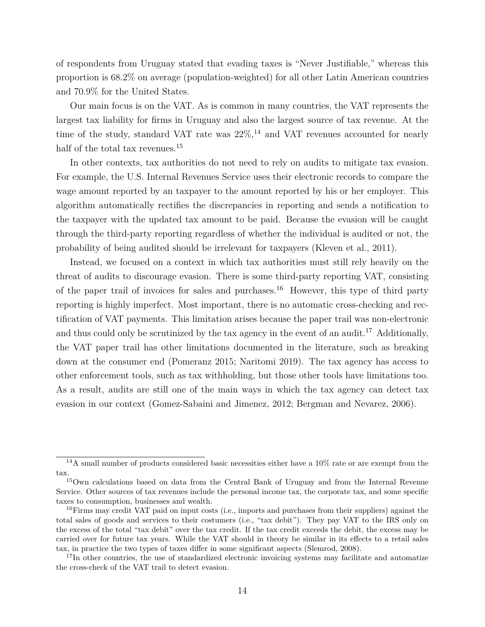of respondents from Uruguay stated that evading taxes is "Never Justifiable," whereas this proportion is 68.2% on average (population-weighted) for all other Latin American countries and 70.9% for the United States.

Our main focus is on the VAT. As is common in many countries, the VAT represents the largest tax liability for firms in Uruguay and also the largest source of tax revenue. At the time of the study, standard VAT rate was  $22\%,^{14}$  and VAT revenues accounted for nearly half of the total tax revenues.<sup>15</sup>

In other contexts, tax authorities do not need to rely on audits to mitigate tax evasion. For example, the U.S. Internal Revenues Service uses their electronic records to compare the wage amount reported by an taxpayer to the amount reported by his or her employer. This algorithm automatically rectifies the discrepancies in reporting and sends a notification to the taxpayer with the updated tax amount to be paid. Because the evasion will be caught through the third-party reporting regardless of whether the individual is audited or not, the probability of being audited should be irrelevant for taxpayers (Kleven et al., 2011).

Instead, we focused on a context in which tax authorities must still rely heavily on the threat of audits to discourage evasion. There is some third-party reporting VAT, consisting of the paper trail of invoices for sales and purchases.<sup>16</sup> However, this type of third party reporting is highly imperfect. Most important, there is no automatic cross-checking and rectification of VAT payments. This limitation arises because the paper trail was non-electronic and thus could only be scrutinized by the tax agency in the event of an audit.<sup>17</sup> Additionally, the VAT paper trail has other limitations documented in the literature, such as breaking down at the consumer end (Pomeranz 2015; Naritomi 2019). The tax agency has access to other enforcement tools, such as tax withholding, but those other tools have limitations too. As a result, audits are still one of the main ways in which the tax agency can detect tax evasion in our context (Gomez-Sabaini and Jimenez, 2012; Bergman and Nevarez, 2006).

<sup>14</sup>A small number of products considered basic necessities either have a 10% rate or are exempt from the tax.

<sup>&</sup>lt;sup>15</sup>Own calculations based on data from the Central Bank of Uruguay and from the Internal Revenue Service. Other sources of tax revenues include the personal income tax, the corporate tax, and some specific taxes to consumption, businesses and wealth.

 $16$ Firms may credit VAT paid on input costs (i.e., imports and purchases from their suppliers) against the total sales of goods and services to their costumers (i.e., "tax debit"). They pay VAT to the IRS only on the excess of the total "tax debit" over the tax credit. If the tax credit exceeds the debit, the excess may be carried over for future tax years. While the VAT should in theory be similar in its effects to a retail sales tax, in practice the two types of taxes differ in some significant aspects (Slemrod, 2008).

 $17$ In other countries, the use of standardized electronic invoicing systems may facilitate and automatize the cross-check of the VAT trail to detect evasion.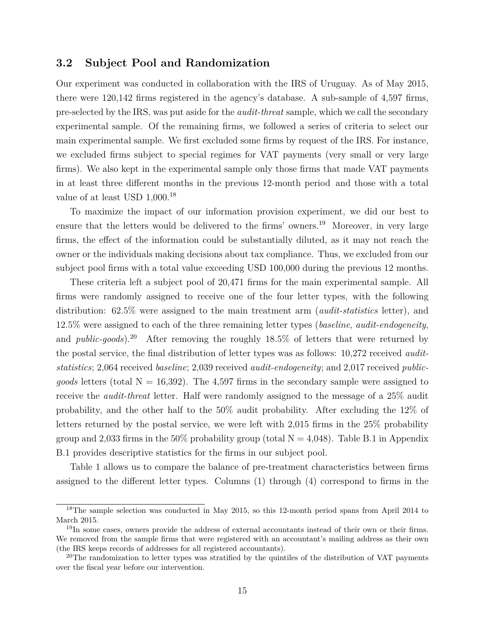### **3.2 Subject Pool and Randomization**

Our experiment was conducted in collaboration with the IRS of Uruguay. As of May 2015, there were 120,142 firms registered in the agency's database. A sub-sample of 4,597 firms, pre-selected by the IRS, was put aside for the *audit-threat* sample, which we call the secondary experimental sample. Of the remaining firms, we followed a series of criteria to select our main experimental sample. We first excluded some firms by request of the IRS. For instance, we excluded firms subject to special regimes for VAT payments (very small or very large firms). We also kept in the experimental sample only those firms that made VAT payments in at least three different months in the previous 12-month period and those with a total value of at least USD  $1,000$ <sup>18</sup>

To maximize the impact of our information provision experiment, we did our best to ensure that the letters would be delivered to the firms' owners.<sup>19</sup> Moreover, in very large firms, the effect of the information could be substantially diluted, as it may not reach the owner or the individuals making decisions about tax compliance. Thus, we excluded from our subject pool firms with a total value exceeding USD 100,000 during the previous 12 months.

These criteria left a subject pool of 20,471 firms for the main experimental sample. All firms were randomly assigned to receive one of the four letter types, with the following distribution: 62.5% were assigned to the main treatment arm (*audit-statistics* letter), and 12.5% were assigned to each of the three remaining letter types (*baseline*, *audit-endogeneity*, and *public-goods*).<sup>20</sup> After removing the roughly 18.5% of letters that were returned by the postal service, the final distribution of letter types was as follows: 10,272 received *auditstatistics*; 2,064 received *baseline*; 2,039 received *audit-endogeneity*; and 2,017 received *publicgoods* letters (total  $N = 16,392$ ). The 4,597 firms in the secondary sample were assigned to receive the *audit-threat* letter. Half were randomly assigned to the message of a 25% audit probability, and the other half to the 50% audit probability. After excluding the 12% of letters returned by the postal service, we were left with 2,015 firms in the 25% probability group and 2,033 firms in the 50% probability group (total  $N = 4,048$ ). Table B.1 in Appendix B.1 provides descriptive statistics for the firms in our subject pool.

Table 1 allows us to compare the balance of pre-treatment characteristics between firms assigned to the different letter types. Columns (1) through (4) correspond to firms in the

<sup>&</sup>lt;sup>18</sup>The sample selection was conducted in May 2015, so this 12-month period spans from April 2014 to March 2015.

<sup>&</sup>lt;sup>19</sup>In some cases, owners provide the address of external accountants instead of their own or their firms. We removed from the sample firms that were registered with an accountant's mailing address as their own (the IRS keeps records of addresses for all registered accountants).

 $20$ The randomization to letter types was stratified by the quintiles of the distribution of VAT payments over the fiscal year before our intervention.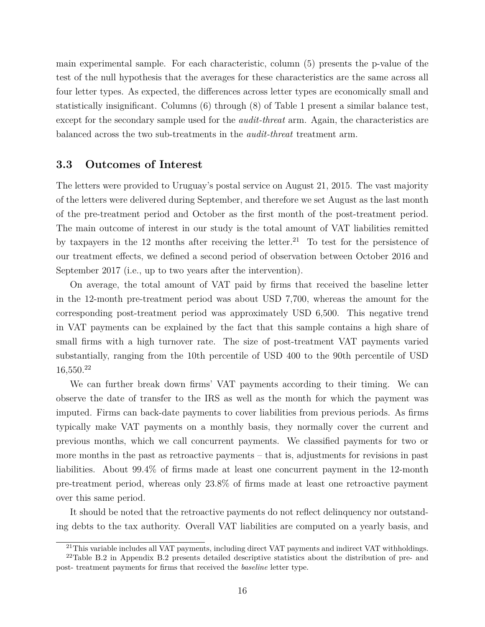main experimental sample. For each characteristic, column (5) presents the p-value of the test of the null hypothesis that the averages for these characteristics are the same across all four letter types. As expected, the differences across letter types are economically small and statistically insignificant. Columns (6) through (8) of Table 1 present a similar balance test, except for the secondary sample used for the *audit-threat* arm. Again, the characteristics are balanced across the two sub-treatments in the *audit-threat* treatment arm.

### **3.3 Outcomes of Interest**

The letters were provided to Uruguay's postal service on August 21, 2015. The vast majority of the letters were delivered during September, and therefore we set August as the last month of the pre-treatment period and October as the first month of the post-treatment period. The main outcome of interest in our study is the total amount of VAT liabilities remitted by taxpayers in the 12 months after receiving the letter.<sup>21</sup> To test for the persistence of our treatment effects, we defined a second period of observation between October 2016 and September 2017 (i.e., up to two years after the intervention).

On average, the total amount of VAT paid by firms that received the baseline letter in the 12-month pre-treatment period was about USD 7,700, whereas the amount for the corresponding post-treatment period was approximately USD 6,500. This negative trend in VAT payments can be explained by the fact that this sample contains a high share of small firms with a high turnover rate. The size of post-treatment VAT payments varied substantially, ranging from the 10th percentile of USD 400 to the 90th percentile of USD  $16,550.<sup>22</sup>$ 

We can further break down firms' VAT payments according to their timing. We can observe the date of transfer to the IRS as well as the month for which the payment was imputed. Firms can back-date payments to cover liabilities from previous periods. As firms typically make VAT payments on a monthly basis, they normally cover the current and previous months, which we call concurrent payments. We classified payments for two or more months in the past as retroactive payments – that is, adjustments for revisions in past liabilities. About 99.4% of firms made at least one concurrent payment in the 12-month pre-treatment period, whereas only 23.8% of firms made at least one retroactive payment over this same period.

It should be noted that the retroactive payments do not reflect delinquency nor outstanding debts to the tax authority. Overall VAT liabilities are computed on a yearly basis, and

<sup>&</sup>lt;sup>21</sup>This variable includes all VAT payments, including direct VAT payments and indirect VAT withholdings.

<sup>22</sup>Table B.2 in Appendix B.2 presents detailed descriptive statistics about the distribution of pre- and post- treatment payments for firms that received the *baseline* letter type.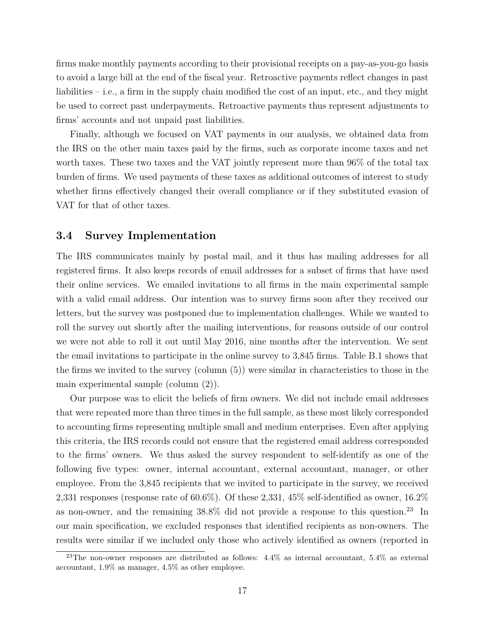firms make monthly payments according to their provisional receipts on a pay-as-you-go basis to avoid a large bill at the end of the fiscal year. Retroactive payments reflect changes in past liabilities – i.e., a firm in the supply chain modified the cost of an input, etc., and they might be used to correct past underpayments. Retroactive payments thus represent adjustments to firms' accounts and not unpaid past liabilities.

Finally, although we focused on VAT payments in our analysis, we obtained data from the IRS on the other main taxes paid by the firms, such as corporate income taxes and net worth taxes. These two taxes and the VAT jointly represent more than 96% of the total tax burden of firms. We used payments of these taxes as additional outcomes of interest to study whether firms effectively changed their overall compliance or if they substituted evasion of VAT for that of other taxes.

### **3.4 Survey Implementation**

The IRS communicates mainly by postal mail, and it thus has mailing addresses for all registered firms. It also keeps records of email addresses for a subset of firms that have used their online services. We emailed invitations to all firms in the main experimental sample with a valid email address. Our intention was to survey firms soon after they received our letters, but the survey was postponed due to implementation challenges. While we wanted to roll the survey out shortly after the mailing interventions, for reasons outside of our control we were not able to roll it out until May 2016, nine months after the intervention. We sent the email invitations to participate in the online survey to 3,845 firms. Table B.1 shows that the firms we invited to the survey (column (5)) were similar in characteristics to those in the main experimental sample (column (2)).

Our purpose was to elicit the beliefs of firm owners. We did not include email addresses that were repeated more than three times in the full sample, as these most likely corresponded to accounting firms representing multiple small and medium enterprises. Even after applying this criteria, the IRS records could not ensure that the registered email address corresponded to the firms' owners. We thus asked the survey respondent to self-identify as one of the following five types: owner, internal accountant, external accountant, manager, or other employee. From the 3,845 recipients that we invited to participate in the survey, we received 2,331 responses (response rate of 60.6%). Of these 2,331, 45% self-identified as owner, 16.2% as non-owner, and the remaining  $38.8\%$  did not provide a response to this question.<sup>23</sup> In our main specification, we excluded responses that identified recipients as non-owners. The results were similar if we included only those who actively identified as owners (reported in

<sup>&</sup>lt;sup>23</sup>The non-owner responses are distributed as follows:  $4.4\%$  as internal accountant,  $5.4\%$  as external accountant, 1.9% as manager, 4.5% as other employee.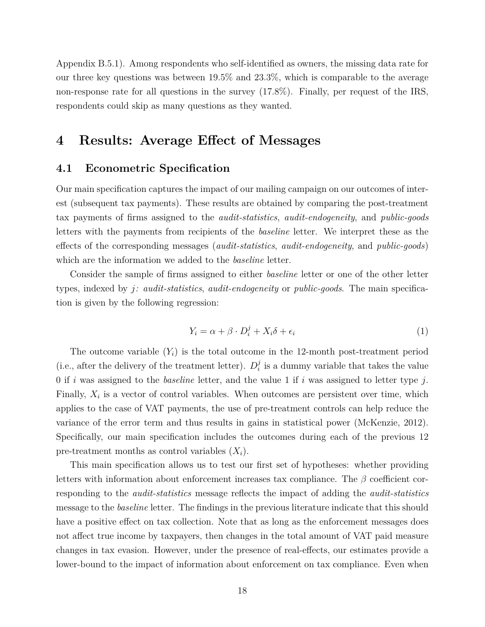Appendix B.5.1). Among respondents who self-identified as owners, the missing data rate for our three key questions was between 19.5% and 23.3%, which is comparable to the average non-response rate for all questions in the survey (17.8%). Finally, per request of the IRS, respondents could skip as many questions as they wanted.

### **4 Results: Average Effect of Messages**

### **4.1 Econometric Specification**

Our main specification captures the impact of our mailing campaign on our outcomes of interest (subsequent tax payments). These results are obtained by comparing the post-treatment tax payments of firms assigned to the *audit-statistics*, *audit-endogeneity*, and *public-goods* letters with the payments from recipients of the *baseline* letter. We interpret these as the effects of the corresponding messages (*audit-statistics*, *audit-endogeneity*, and *public-goods*) which are the information we added to the *baseline* letter.

Consider the sample of firms assigned to either *baseline* letter or one of the other letter types, indexed by *j: audit-statistics*, *audit-endogeneity* or *public-goods*. The main specification is given by the following regression:

$$
Y_i = \alpha + \beta \cdot D_i^j + X_i \delta + \epsilon_i \tag{1}
$$

The outcome variable  $(Y_i)$  is the total outcome in the 12-month post-treatment period (i.e., after the delivery of the treatment letter).  $D_i^j$  $\frac{3}{i}$  is a dummy variable that takes the value 0 if *i* was assigned to the *baseline* letter, and the value 1 if *i* was assigned to letter type *j*. Finally,  $X_i$  is a vector of control variables. When outcomes are persistent over time, which applies to the case of VAT payments, the use of pre-treatment controls can help reduce the variance of the error term and thus results in gains in statistical power (McKenzie, 2012). Specifically, our main specification includes the outcomes during each of the previous 12 pre-treatment months as control variables  $(X_i)$ .

This main specification allows us to test our first set of hypotheses: whether providing letters with information about enforcement increases tax compliance. The *β* coefficient corresponding to the *audit-statistics* message reflects the impact of adding the *audit-statistics* message to the *baseline* letter. The findings in the previous literature indicate that this should have a positive effect on tax collection. Note that as long as the enforcement messages does not affect true income by taxpayers, then changes in the total amount of VAT paid measure changes in tax evasion. However, under the presence of real-effects, our estimates provide a lower-bound to the impact of information about enforcement on tax compliance. Even when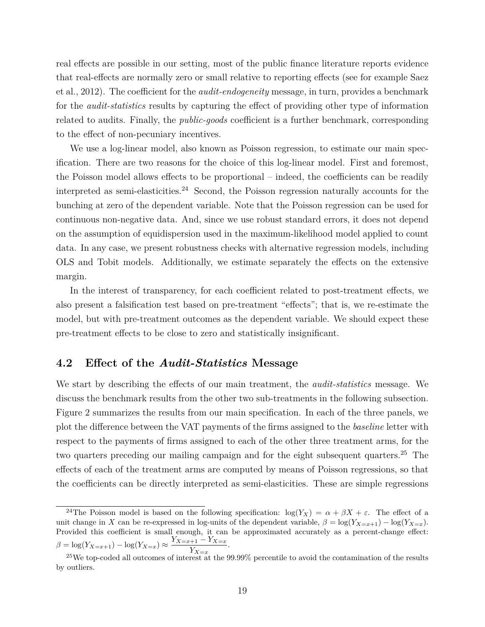real effects are possible in our setting, most of the public finance literature reports evidence that real-effects are normally zero or small relative to reporting effects (see for example Saez et al., 2012). The coefficient for the *audit-endogeneity* message, in turn, provides a benchmark for the *audit-statistics* results by capturing the effect of providing other type of information related to audits. Finally, the *public-goods* coefficient is a further benchmark, corresponding to the effect of non-pecuniary incentives.

We use a log-linear model, also known as Poisson regression, to estimate our main specification. There are two reasons for the choice of this log-linear model. First and foremost, the Poisson model allows effects to be proportional – indeed, the coefficients can be readily interpreted as semi-elasticities.<sup>24</sup> Second, the Poisson regression naturally accounts for the bunching at zero of the dependent variable. Note that the Poisson regression can be used for continuous non-negative data. And, since we use robust standard errors, it does not depend on the assumption of equidispersion used in the maximum-likelihood model applied to count data. In any case, we present robustness checks with alternative regression models, including OLS and Tobit models. Additionally, we estimate separately the effects on the extensive margin.

In the interest of transparency, for each coefficient related to post-treatment effects, we also present a falsification test based on pre-treatment "effects"; that is, we re-estimate the model, but with pre-treatment outcomes as the dependent variable. We should expect these pre-treatment effects to be close to zero and statistically insignificant.

### **4.2 Effect of the** *Audit-Statistics* **Message**

We start by describing the effects of our main treatment, the *audit-statistics* message. We discuss the benchmark results from the other two sub-treatments in the following subsection. Figure 2 summarizes the results from our main specification. In each of the three panels, we plot the difference between the VAT payments of the firms assigned to the *baseline* letter with respect to the payments of firms assigned to each of the other three treatment arms, for the two quarters preceding our mailing campaign and for the eight subsequent quarters.<sup>25</sup> The effects of each of the treatment arms are computed by means of Poisson regressions, so that the coefficients can be directly interpreted as semi-elasticities. These are simple regressions

<sup>&</sup>lt;sup>24</sup>The Poisson model is based on the following specification:  $\log(Y_X) = \alpha + \beta X + \varepsilon$ . The effect of a unit change in *X* can be re-expressed in log-units of the dependent variable,  $\beta = \log(Y_{X=x+1}) - \log(Y_{X=x})$ . Provided this coefficient is small enough, it can be approximated accurately as a percent-change effect:  $\beta = \log(Y_{X=x+1}) - \log(Y_{X=x}) \approx \frac{Y_{X=x+1} - Y_{X=x}}{Y}$ . *Y<sup>X</sup>*=*<sup>x</sup>*

<sup>&</sup>lt;sup>25</sup>We top-coded all outcomes of interest at the 99.99% percentile to avoid the contamination of the results by outliers.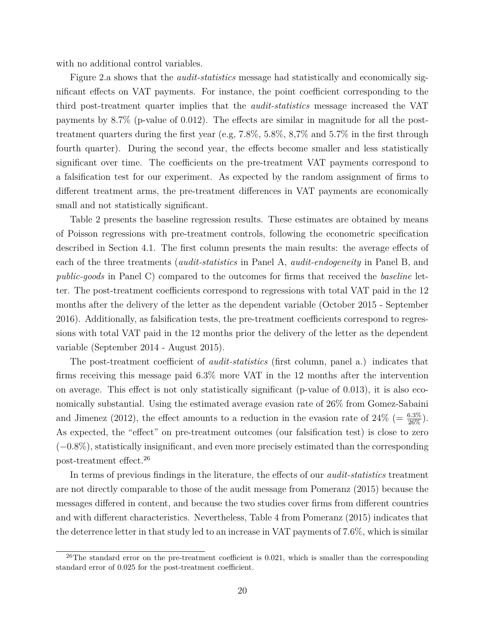with no additional control variables.

Figure 2.a shows that the *audit-statistics* message had statistically and economically significant effects on VAT payments. For instance, the point coefficient corresponding to the third post-treatment quarter implies that the *audit-statistics* message increased the VAT payments by 8.7% (p-value of 0.012). The effects are similar in magnitude for all the posttreatment quarters during the first year (e.g, 7.8%, 5.8%, 8,7% and 5.7% in the first through fourth quarter). During the second year, the effects become smaller and less statistically significant over time. The coefficients on the pre-treatment VAT payments correspond to a falsification test for our experiment. As expected by the random assignment of firms to different treatment arms, the pre-treatment differences in VAT payments are economically small and not statistically significant.

Table 2 presents the baseline regression results. These estimates are obtained by means of Poisson regressions with pre-treatment controls, following the econometric specification described in Section 4.1. The first column presents the main results: the average effects of each of the three treatments (*audit-statistics* in Panel A, *audit-endogeneity* in Panel B, and *public-goods* in Panel C) compared to the outcomes for firms that received the *baseline* letter. The post-treatment coefficients correspond to regressions with total VAT paid in the 12 months after the delivery of the letter as the dependent variable (October 2015 - September 2016). Additionally, as falsification tests, the pre-treatment coefficients correspond to regressions with total VAT paid in the 12 months prior the delivery of the letter as the dependent variable (September 2014 - August 2015).

The post-treatment coefficient of *audit-statistics* (first column, panel a.) indicates that firms receiving this message paid 6.3% more VAT in the 12 months after the intervention on average. This effect is not only statistically significant (p-value of 0.013), it is also economically substantial. Using the estimated average evasion rate of 26% from Gomez-Sabaini and Jimenez (2012), the effect amounts to a reduction in the evasion rate of  $24\%$  (=  $\frac{6.3\%}{26\%}$ ). As expected, the "effect" on pre-treatment outcomes (our falsification test) is close to zero (−0.8%), statistically insignificant, and even more precisely estimated than the corresponding post-treatment effect.<sup>26</sup>

In terms of previous findings in the literature, the effects of our *audit-statistics* treatment are not directly comparable to those of the audit message from Pomeranz (2015) because the messages differed in content, and because the two studies cover firms from different countries and with different characteristics. Nevertheless, Table 4 from Pomeranz (2015) indicates that the deterrence letter in that study led to an increase in VAT payments of 7.6%, which is similar

 $^{26}$ The standard error on the pre-treatment coefficient is 0.021, which is smaller than the corresponding standard error of 0.025 for the post-treatment coefficient.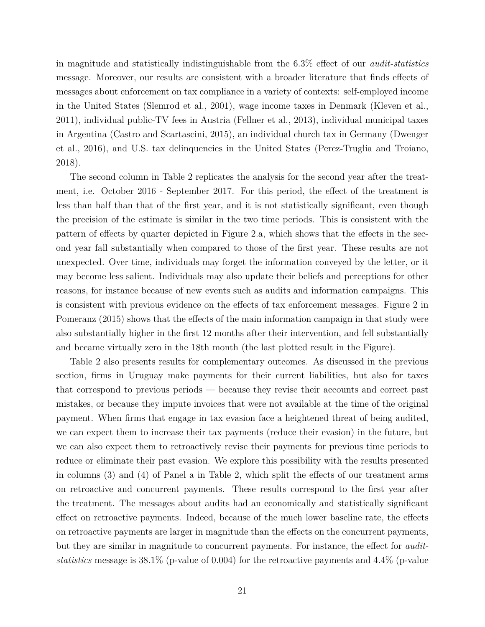in magnitude and statistically indistinguishable from the 6.3% effect of our *audit-statistics* message. Moreover, our results are consistent with a broader literature that finds effects of messages about enforcement on tax compliance in a variety of contexts: self-employed income in the United States (Slemrod et al., 2001), wage income taxes in Denmark (Kleven et al., 2011), individual public-TV fees in Austria (Fellner et al., 2013), individual municipal taxes in Argentina (Castro and Scartascini, 2015), an individual church tax in Germany (Dwenger et al., 2016), and U.S. tax delinquencies in the United States (Perez-Truglia and Troiano, 2018).

The second column in Table 2 replicates the analysis for the second year after the treatment, i.e. October 2016 - September 2017. For this period, the effect of the treatment is less than half than that of the first year, and it is not statistically significant, even though the precision of the estimate is similar in the two time periods. This is consistent with the pattern of effects by quarter depicted in Figure 2.a, which shows that the effects in the second year fall substantially when compared to those of the first year. These results are not unexpected. Over time, individuals may forget the information conveyed by the letter, or it may become less salient. Individuals may also update their beliefs and perceptions for other reasons, for instance because of new events such as audits and information campaigns. This is consistent with previous evidence on the effects of tax enforcement messages. Figure 2 in Pomeranz (2015) shows that the effects of the main information campaign in that study were also substantially higher in the first 12 months after their intervention, and fell substantially and became virtually zero in the 18th month (the last plotted result in the Figure).

Table 2 also presents results for complementary outcomes. As discussed in the previous section, firms in Uruguay make payments for their current liabilities, but also for taxes that correspond to previous periods — because they revise their accounts and correct past mistakes, or because they impute invoices that were not available at the time of the original payment. When firms that engage in tax evasion face a heightened threat of being audited, we can expect them to increase their tax payments (reduce their evasion) in the future, but we can also expect them to retroactively revise their payments for previous time periods to reduce or eliminate their past evasion. We explore this possibility with the results presented in columns (3) and (4) of Panel a in Table 2, which split the effects of our treatment arms on retroactive and concurrent payments. These results correspond to the first year after the treatment. The messages about audits had an economically and statistically significant effect on retroactive payments. Indeed, because of the much lower baseline rate, the effects on retroactive payments are larger in magnitude than the effects on the concurrent payments, but they are similar in magnitude to concurrent payments. For instance, the effect for *auditstatistics* message is 38.1% (p-value of 0.004) for the retroactive payments and 4.4% (p-value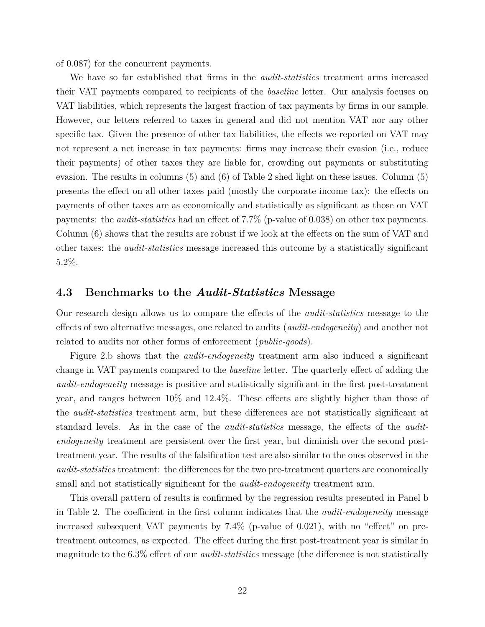of 0.087) for the concurrent payments.

We have so far established that firms in the *audit-statistics* treatment arms increased their VAT payments compared to recipients of the *baseline* letter. Our analysis focuses on VAT liabilities, which represents the largest fraction of tax payments by firms in our sample. However, our letters referred to taxes in general and did not mention VAT nor any other specific tax. Given the presence of other tax liabilities, the effects we reported on VAT may not represent a net increase in tax payments: firms may increase their evasion (i.e., reduce their payments) of other taxes they are liable for, crowding out payments or substituting evasion. The results in columns (5) and (6) of Table 2 shed light on these issues. Column (5) presents the effect on all other taxes paid (mostly the corporate income tax): the effects on payments of other taxes are as economically and statistically as significant as those on VAT payments: the *audit-statistics* had an effect of 7.7% (p-value of 0.038) on other tax payments. Column (6) shows that the results are robust if we look at the effects on the sum of VAT and other taxes: the *audit-statistics* message increased this outcome by a statistically significant 5.2%.

### **4.3 Benchmarks to the** *Audit-Statistics* **Message**

Our research design allows us to compare the effects of the *audit-statistics* message to the effects of two alternative messages, one related to audits (*audit-endogeneity*) and another not related to audits nor other forms of enforcement (*public-goods*).

Figure 2.b shows that the *audit-endogeneity* treatment arm also induced a significant change in VAT payments compared to the *baseline* letter. The quarterly effect of adding the *audit-endogeneity* message is positive and statistically significant in the first post-treatment year, and ranges between 10% and 12.4%. These effects are slightly higher than those of the *audit-statistics* treatment arm, but these differences are not statistically significant at standard levels. As in the case of the *audit-statistics* message, the effects of the *auditendogeneity* treatment are persistent over the first year, but diminish over the second posttreatment year. The results of the falsification test are also similar to the ones observed in the *audit-statistics* treatment: the differences for the two pre-treatment quarters are economically small and not statistically significant for the *audit-endogeneity* treatment arm.

This overall pattern of results is confirmed by the regression results presented in Panel b in Table 2. The coefficient in the first column indicates that the *audit-endogeneity* message increased subsequent VAT payments by 7.4% (p-value of 0.021), with no "effect" on pretreatment outcomes, as expected. The effect during the first post-treatment year is similar in magnitude to the 6.3% effect of our *audit-statistics* message (the difference is not statistically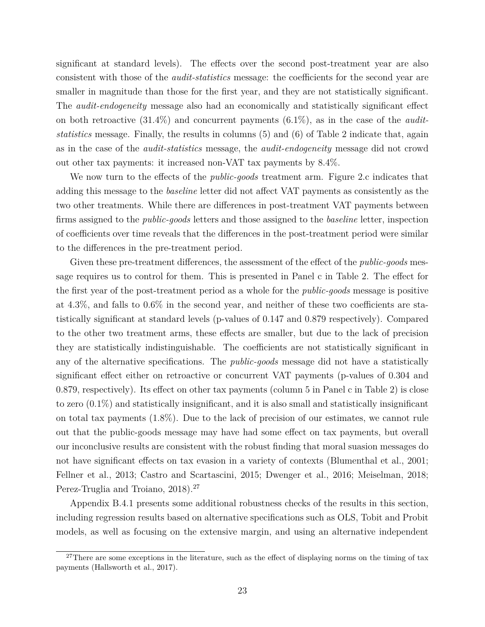significant at standard levels). The effects over the second post-treatment year are also consistent with those of the *audit-statistics* message: the coefficients for the second year are smaller in magnitude than those for the first year, and they are not statistically significant. The *audit-endogeneity* message also had an economically and statistically significant effect on both retroactive (31.4%) and concurrent payments (6.1%), as in the case of the *auditstatistics* message. Finally, the results in columns (5) and (6) of Table 2 indicate that, again as in the case of the *audit-statistics* message, the *audit-endogeneity* message did not crowd out other tax payments: it increased non-VAT tax payments by 8.4%.

We now turn to the effects of the *public-goods* treatment arm. Figure 2.c indicates that adding this message to the *baseline* letter did not affect VAT payments as consistently as the two other treatments. While there are differences in post-treatment VAT payments between firms assigned to the *public-goods* letters and those assigned to the *baseline* letter, inspection of coefficients over time reveals that the differences in the post-treatment period were similar to the differences in the pre-treatment period.

Given these pre-treatment differences, the assessment of the effect of the *public-goods* message requires us to control for them. This is presented in Panel c in Table 2. The effect for the first year of the post-treatment period as a whole for the *public-goods* message is positive at 4.3%, and falls to 0.6% in the second year, and neither of these two coefficients are statistically significant at standard levels (p-values of 0.147 and 0.879 respectively). Compared to the other two treatment arms, these effects are smaller, but due to the lack of precision they are statistically indistinguishable. The coefficients are not statistically significant in any of the alternative specifications. The *public-goods* message did not have a statistically significant effect either on retroactive or concurrent VAT payments (p-values of 0.304 and 0.879, respectively). Its effect on other tax payments (column 5 in Panel c in Table 2) is close to zero (0.1%) and statistically insignificant, and it is also small and statistically insignificant on total tax payments (1.8%). Due to the lack of precision of our estimates, we cannot rule out that the public-goods message may have had some effect on tax payments, but overall our inconclusive results are consistent with the robust finding that moral suasion messages do not have significant effects on tax evasion in a variety of contexts (Blumenthal et al., 2001; Fellner et al., 2013; Castro and Scartascini, 2015; Dwenger et al., 2016; Meiselman, 2018; Perez-Truglia and Troiano, 2018).<sup>27</sup>

Appendix B.4.1 presents some additional robustness checks of the results in this section, including regression results based on alternative specifications such as OLS, Tobit and Probit models, as well as focusing on the extensive margin, and using an alternative independent

 $27$ There are some exceptions in the literature, such as the effect of displaying norms on the timing of tax payments (Hallsworth et al., 2017).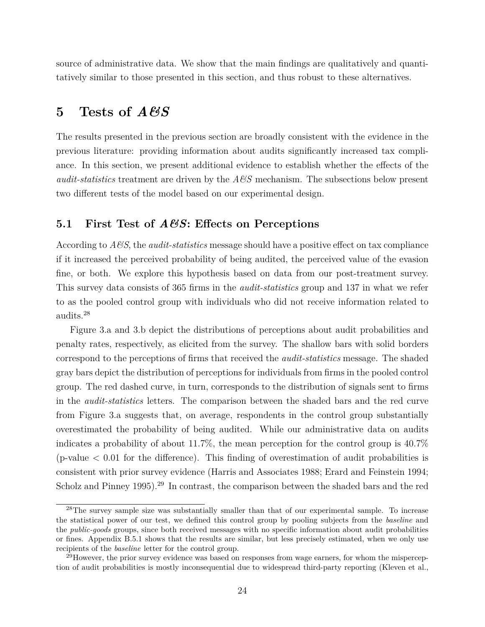source of administrative data. We show that the main findings are qualitatively and quantitatively similar to those presented in this section, and thus robust to these alternatives.

### **5 Tests of** *A&S*

The results presented in the previous section are broadly consistent with the evidence in the previous literature: providing information about audits significantly increased tax compliance. In this section, we present additional evidence to establish whether the effects of the *audit-statistics* treatment are driven by the *A&S* mechanism. The subsections below present two different tests of the model based on our experimental design.

### **5.1 First Test of** *A&S***: Effects on Perceptions**

According to *A&S*, the *audit-statistics* message should have a positive effect on tax compliance if it increased the perceived probability of being audited, the perceived value of the evasion fine, or both. We explore this hypothesis based on data from our post-treatment survey. This survey data consists of 365 firms in the *audit-statistics* group and 137 in what we refer to as the pooled control group with individuals who did not receive information related to audits.<sup>28</sup>

Figure 3.a and 3.b depict the distributions of perceptions about audit probabilities and penalty rates, respectively, as elicited from the survey. The shallow bars with solid borders correspond to the perceptions of firms that received the *audit-statistics* message. The shaded gray bars depict the distribution of perceptions for individuals from firms in the pooled control group. The red dashed curve, in turn, corresponds to the distribution of signals sent to firms in the *audit-statistics* letters. The comparison between the shaded bars and the red curve from Figure 3.a suggests that, on average, respondents in the control group substantially overestimated the probability of being audited. While our administrative data on audits indicates a probability of about 11.7%, the mean perception for the control group is 40.7% (p-value  $\lt 0.01$  for the difference). This finding of overestimation of audit probabilities is consistent with prior survey evidence (Harris and Associates 1988; Erard and Feinstein 1994; Scholz and Pinney 1995).<sup>29</sup> In contrast, the comparison between the shaded bars and the red

<sup>&</sup>lt;sup>28</sup>The survey sample size was substantially smaller than that of our experimental sample. To increase the statistical power of our test, we defined this control group by pooling subjects from the *baseline* and the *public-goods* groups, since both received messages with no specific information about audit probabilities or fines. Appendix B.5.1 shows that the results are similar, but less precisely estimated, when we only use recipients of the *baseline* letter for the control group.

<sup>&</sup>lt;sup>29</sup>However, the prior survey evidence was based on responses from wage earners, for whom the misperception of audit probabilities is mostly inconsequential due to widespread third-party reporting (Kleven et al.,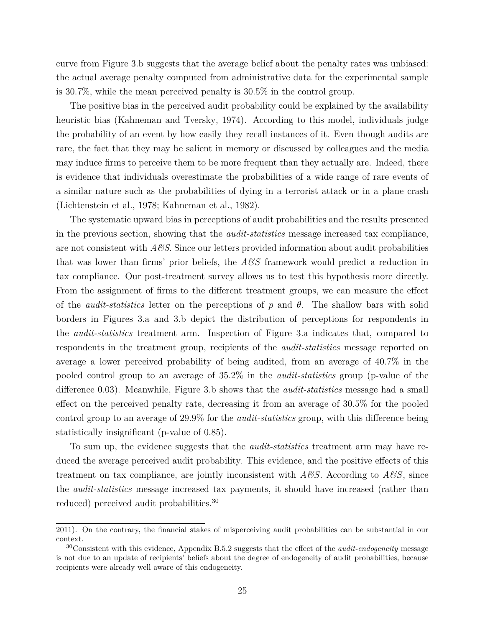curve from Figure 3.b suggests that the average belief about the penalty rates was unbiased: the actual average penalty computed from administrative data for the experimental sample is 30.7%, while the mean perceived penalty is 30.5% in the control group.

The positive bias in the perceived audit probability could be explained by the availability heuristic bias (Kahneman and Tversky, 1974). According to this model, individuals judge the probability of an event by how easily they recall instances of it. Even though audits are rare, the fact that they may be salient in memory or discussed by colleagues and the media may induce firms to perceive them to be more frequent than they actually are. Indeed, there is evidence that individuals overestimate the probabilities of a wide range of rare events of a similar nature such as the probabilities of dying in a terrorist attack or in a plane crash (Lichtenstein et al., 1978; Kahneman et al., 1982).

The systematic upward bias in perceptions of audit probabilities and the results presented in the previous section, showing that the *audit-statistics* message increased tax compliance, are not consistent with  $A\mathscr{G}S$ . Since our letters provided information about audit probabilities that was lower than firms' prior beliefs, the *A&S* framework would predict a reduction in tax compliance. Our post-treatment survey allows us to test this hypothesis more directly. From the assignment of firms to the different treatment groups, we can measure the effect of the *audit-statistics* letter on the perceptions of *p* and *θ*. The shallow bars with solid borders in Figures 3.a and 3.b depict the distribution of perceptions for respondents in the *audit-statistics* treatment arm. Inspection of Figure 3.a indicates that, compared to respondents in the treatment group, recipients of the *audit-statistics* message reported on average a lower perceived probability of being audited, from an average of 40.7% in the pooled control group to an average of 35.2% in the *audit-statistics* group (p-value of the difference 0.03). Meanwhile, Figure 3.b shows that the *audit-statistics* message had a small effect on the perceived penalty rate, decreasing it from an average of 30.5% for the pooled control group to an average of 29.9% for the *audit-statistics* group, with this difference being statistically insignificant (p-value of 0.85).

To sum up, the evidence suggests that the *audit-statistics* treatment arm may have reduced the average perceived audit probability. This evidence, and the positive effects of this treatment on tax compliance, are jointly inconsistent with *A&S*. According to *A&S*, since the *audit-statistics* message increased tax payments, it should have increased (rather than reduced) perceived audit probabilities.<sup>30</sup>

<sup>2011).</sup> On the contrary, the financial stakes of misperceiving audit probabilities can be substantial in our context.

<sup>30</sup>Consistent with this evidence, Appendix B.5.2 suggests that the effect of the *audit-endogeneity* message is not due to an update of recipients' beliefs about the degree of endogeneity of audit probabilities, because recipients were already well aware of this endogeneity.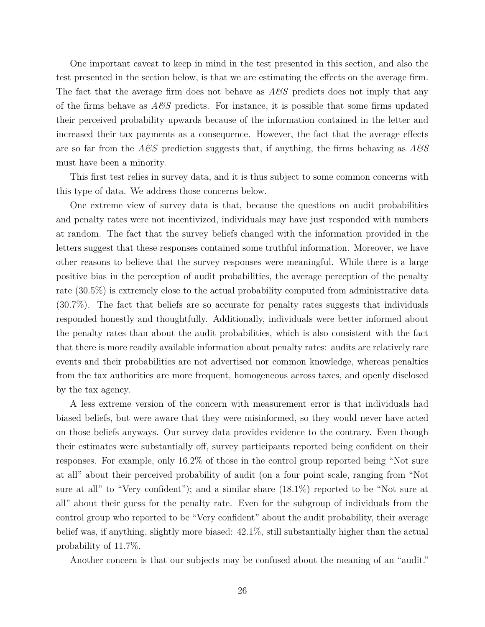One important caveat to keep in mind in the test presented in this section, and also the test presented in the section below, is that we are estimating the effects on the average firm. The fact that the average firm does not behave as *A&S* predicts does not imply that any of the firms behave as  $A\mathscr{C}S$  predicts. For instance, it is possible that some firms updated their perceived probability upwards because of the information contained in the letter and increased their tax payments as a consequence. However, the fact that the average effects are so far from the  $A\&S$  prediction suggests that, if anything, the firms behaving as  $A\&S$ must have been a minority.

This first test relies in survey data, and it is thus subject to some common concerns with this type of data. We address those concerns below.

One extreme view of survey data is that, because the questions on audit probabilities and penalty rates were not incentivized, individuals may have just responded with numbers at random. The fact that the survey beliefs changed with the information provided in the letters suggest that these responses contained some truthful information. Moreover, we have other reasons to believe that the survey responses were meaningful. While there is a large positive bias in the perception of audit probabilities, the average perception of the penalty rate (30.5%) is extremely close to the actual probability computed from administrative data (30.7%). The fact that beliefs are so accurate for penalty rates suggests that individuals responded honestly and thoughtfully. Additionally, individuals were better informed about the penalty rates than about the audit probabilities, which is also consistent with the fact that there is more readily available information about penalty rates: audits are relatively rare events and their probabilities are not advertised nor common knowledge, whereas penalties from the tax authorities are more frequent, homogeneous across taxes, and openly disclosed by the tax agency.

A less extreme version of the concern with measurement error is that individuals had biased beliefs, but were aware that they were misinformed, so they would never have acted on those beliefs anyways. Our survey data provides evidence to the contrary. Even though their estimates were substantially off, survey participants reported being confident on their responses. For example, only 16.2% of those in the control group reported being "Not sure at all" about their perceived probability of audit (on a four point scale, ranging from "Not sure at all" to "Very confident"); and a similar share (18.1%) reported to be "Not sure at all" about their guess for the penalty rate. Even for the subgroup of individuals from the control group who reported to be "Very confident" about the audit probability, their average belief was, if anything, slightly more biased: 42.1%, still substantially higher than the actual probability of 11.7%.

Another concern is that our subjects may be confused about the meaning of an "audit."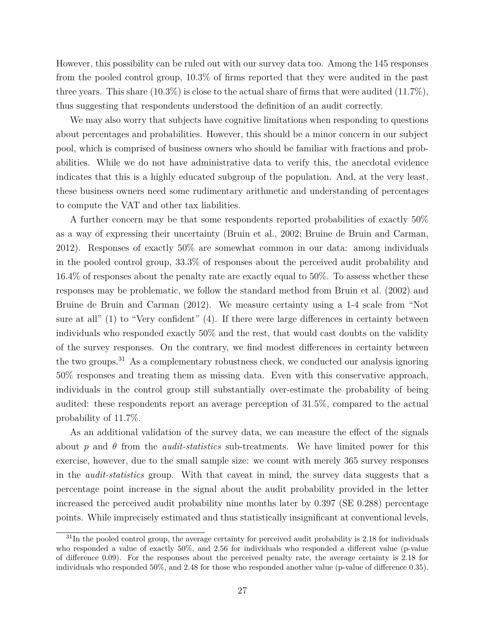However, this possibility can be ruled out with our survey data too. Among the 145 responses from the pooled control group, 10.3% of firms reported that they were audited in the past three years. This share  $(10.3\%)$  is close to the actual share of firms that were audited  $(11.7\%)$ , thus suggesting that respondents understood the definition of an audit correctly.

We may also worry that subjects have cognitive limitations when responding to questions about percentages and probabilities. However, this should be a minor concern in our subject pool, which is comprised of business owners who should be familiar with fractions and probabilities. While we do not have administrative data to verify this, the anecdotal evidence indicates that this is a highly educated subgroup of the population. And, at the very least, these business owners need some rudimentary arithmetic and understanding of percentages to compute the VAT and other tax liabilities.

A further concern may be that some respondents reported probabilities of exactly 50% as a way of expressing their uncertainty (Bruin et al., 2002; Bruine de Bruin and Carman, 2012). Responses of exactly 50% are somewhat common in our data: among individuals in the pooled control group, 33.3% of responses about the perceived audit probability and 16.4% of responses about the penalty rate are exactly equal to 50%. To assess whether these responses may be problematic, we follow the standard method from Bruin et al. (2002) and Bruine de Bruin and Carman (2012). We measure certainty using a 1-4 scale from "Not sure at all" (1) to "Very confident" (4). If there were large differences in certainty between individuals who responded exactly 50% and the rest, that would cast doubts on the validity of the survey responses. On the contrary, we find modest differences in certainty between the two groups.<sup>31</sup> As a complementary robustness check, we conducted our analysis ignoring 50% responses and treating them as missing data. Even with this conservative approach, individuals in the control group still substantially over-estimate the probability of being audited: these respondents report an average perception of 31.5%, compared to the actual probability of 11.7%.

As an additional validation of the survey data, we can measure the effect of the signals about *p* and *θ* from the *audit-statistics* sub-treatments. We have limited power for this exercise, however, due to the small sample size: we count with merely 365 survey responses in the *audit-statistics* group. With that caveat in mind, the survey data suggests that a percentage point increase in the signal about the audit probability provided in the letter increased the perceived audit probability nine months later by 0.397 (SE 0.288) percentage points. While imprecisely estimated and thus statistically insignificant at conventional levels,

 $31$ In the pooled control group, the average certainty for perceived audit probability is 2.18 for individuals who responded a value of exactly 50%, and 2.56 for individuals who responded a different value (p-value of difference 0.09). For the responses about the perceived penalty rate, the average certainty is 2.18 for individuals who responded 50%, and 2.48 for those who responded another value (p-value of difference 0.35).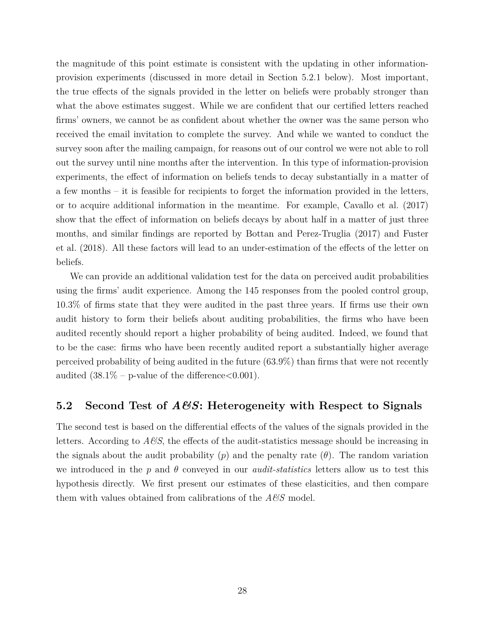the magnitude of this point estimate is consistent with the updating in other informationprovision experiments (discussed in more detail in Section 5.2.1 below). Most important, the true effects of the signals provided in the letter on beliefs were probably stronger than what the above estimates suggest. While we are confident that our certified letters reached firms' owners, we cannot be as confident about whether the owner was the same person who received the email invitation to complete the survey. And while we wanted to conduct the survey soon after the mailing campaign, for reasons out of our control we were not able to roll out the survey until nine months after the intervention. In this type of information-provision experiments, the effect of information on beliefs tends to decay substantially in a matter of a few months – it is feasible for recipients to forget the information provided in the letters, or to acquire additional information in the meantime. For example, Cavallo et al. (2017) show that the effect of information on beliefs decays by about half in a matter of just three months, and similar findings are reported by Bottan and Perez-Truglia (2017) and Fuster et al. (2018). All these factors will lead to an under-estimation of the effects of the letter on beliefs.

We can provide an additional validation test for the data on perceived audit probabilities using the firms' audit experience. Among the 145 responses from the pooled control group, 10.3% of firms state that they were audited in the past three years. If firms use their own audit history to form their beliefs about auditing probabilities, the firms who have been audited recently should report a higher probability of being audited. Indeed, we found that to be the case: firms who have been recently audited report a substantially higher average perceived probability of being audited in the future (63.9%) than firms that were not recently audited  $(38.1\% - \text{p-value of the difference} < 0.001)$ .

### **5.2 Second Test of** *A&S***: Heterogeneity with Respect to Signals**

The second test is based on the differential effects of the values of the signals provided in the letters. According to  $A\mathscr{B}S$ , the effects of the audit-statistics message should be increasing in the signals about the audit probability  $(p)$  and the penalty rate  $(\theta)$ . The random variation we introduced in the *p* and *θ* conveyed in our *audit-statistics* letters allow us to test this hypothesis directly. We first present our estimates of these elasticities, and then compare them with values obtained from calibrations of the *A&S* model.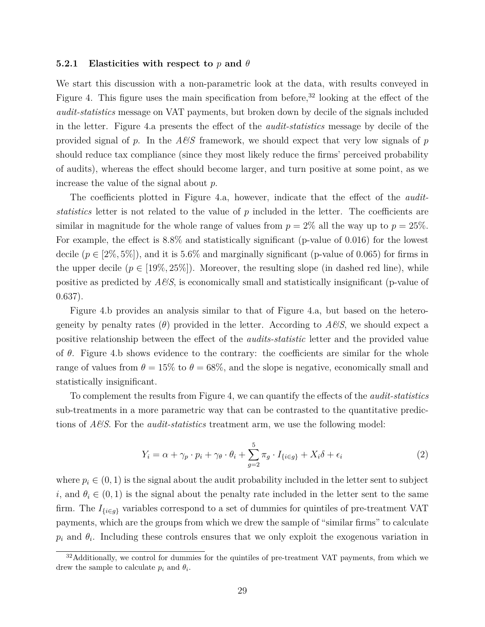#### **5.2.1 Elasticities with respect to** *p* **and** *θ*

We start this discussion with a non-parametric look at the data, with results conveyed in Figure 4. This figure uses the main specification from before,<sup>32</sup> looking at the effect of the *audit-statistics* message on VAT payments, but broken down by decile of the signals included in the letter. Figure 4.a presents the effect of the *audit-statistics* message by decile of the provided signal of *p*. In the *A&S* framework, we should expect that very low signals of *p* should reduce tax compliance (since they most likely reduce the firms' perceived probability of audits), whereas the effect should become larger, and turn positive at some point, as we increase the value of the signal about *p*.

The coefficients plotted in Figure 4.a, however, indicate that the effect of the *auditstatistics* letter is not related to the value of *p* included in the letter. The coefficients are similar in magnitude for the whole range of values from  $p = 2\%$  all the way up to  $p = 25\%$ . For example, the effect is 8.8% and statistically significant (p-value of 0.016) for the lowest decile  $(p \in [2\%, 5\%])$ , and it is 5.6% and marginally significant (p-value of 0.065) for firms in the upper decile  $(p \in [19\%, 25\%])$ . Moreover, the resulting slope (in dashed red line), while positive as predicted by *A&S*, is economically small and statistically insignificant (p-value of 0.637).

Figure 4.b provides an analysis similar to that of Figure 4.a, but based on the heterogeneity by penalty rates  $(\theta)$  provided in the letter. According to  $A\mathscr{B}S$ , we should expect a positive relationship between the effect of the *audits-statistic* letter and the provided value of *θ*. Figure 4.b shows evidence to the contrary: the coefficients are similar for the whole range of values from  $\theta = 15\%$  to  $\theta = 68\%$ , and the slope is negative, economically small and statistically insignificant.

To complement the results from Figure 4, we can quantify the effects of the *audit-statistics* sub-treatments in a more parametric way that can be contrasted to the quantitative predictions of *A&S*. For the *audit-statistics* treatment arm, we use the following model:

$$
Y_i = \alpha + \gamma_p \cdot p_i + \gamma_\theta \cdot \theta_i + \sum_{g=2}^5 \pi_g \cdot I_{\{i \in g\}} + X_i \delta + \epsilon_i \tag{2}
$$

where  $p_i \in (0, 1)$  is the signal about the audit probability included in the letter sent to subject *i*, and  $\theta_i \in (0,1)$  is the signal about the penalty rate included in the letter sent to the same firm. The  $I_{\{i\in g\}}$  variables correspond to a set of dummies for quintiles of pre-treatment VAT payments, which are the groups from which we drew the sample of "similar firms" to calculate  $p_i$  and  $\theta_i$ . Including these controls ensures that we only exploit the exogenous variation in

<sup>&</sup>lt;sup>32</sup>Additionally, we control for dummies for the quintiles of pre-treatment VAT payments, from which we drew the sample to calculate  $p_i$  and  $\theta_i$ .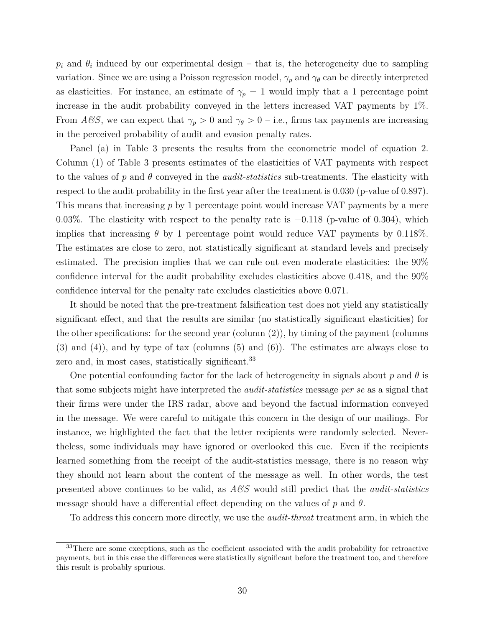$p_i$  and  $\theta_i$  induced by our experimental design – that is, the heterogeneity due to sampling variation. Since we are using a Poisson regression model,  $\gamma_p$  and  $\gamma_\theta$  can be directly interpreted as elasticities. For instance, an estimate of  $\gamma_p = 1$  would imply that a 1 percentage point increase in the audit probability conveyed in the letters increased VAT payments by 1%. From *A*&S, we can expect that  $\gamma_p > 0$  and  $\gamma_{\theta} > 0$  – i.e., firms tax payments are increasing in the perceived probability of audit and evasion penalty rates.

Panel (a) in Table 3 presents the results from the econometric model of equation 2. Column (1) of Table 3 presents estimates of the elasticities of VAT payments with respect to the values of *p* and *θ* conveyed in the *audit-statistics* sub-treatments. The elasticity with respect to the audit probability in the first year after the treatment is 0.030 (p-value of 0.897). This means that increasing *p* by 1 percentage point would increase VAT payments by a mere 0.03%. The elasticity with respect to the penalty rate is  $-0.118$  (p-value of 0.304), which implies that increasing  $\theta$  by 1 percentage point would reduce VAT payments by 0.118%. The estimates are close to zero, not statistically significant at standard levels and precisely estimated. The precision implies that we can rule out even moderate elasticities: the 90% confidence interval for the audit probability excludes elasticities above 0.418, and the 90% confidence interval for the penalty rate excludes elasticities above 0.071.

It should be noted that the pre-treatment falsification test does not yield any statistically significant effect, and that the results are similar (no statistically significant elasticities) for the other specifications: for the second year (column (2)), by timing of the payment (columns (3) and (4)), and by type of tax (columns (5) and (6)). The estimates are always close to zero and, in most cases, statistically significant.<sup>33</sup>

One potential confounding factor for the lack of heterogeneity in signals about *p* and *θ* is that some subjects might have interpreted the *audit-statistics* message *per se* as a signal that their firms were under the IRS radar, above and beyond the factual information conveyed in the message. We were careful to mitigate this concern in the design of our mailings. For instance, we highlighted the fact that the letter recipients were randomly selected. Nevertheless, some individuals may have ignored or overlooked this cue. Even if the recipients learned something from the receipt of the audit-statistics message, there is no reason why they should not learn about the content of the message as well. In other words, the test presented above continues to be valid, as *A&S* would still predict that the *audit-statistics* message should have a differential effect depending on the values of *p* and *θ*.

To address this concern more directly, we use the *audit-threat* treatment arm, in which the

<sup>&</sup>lt;sup>33</sup>There are some exceptions, such as the coefficient associated with the audit probability for retroactive payments, but in this case the differences were statistically significant before the treatment too, and therefore this result is probably spurious.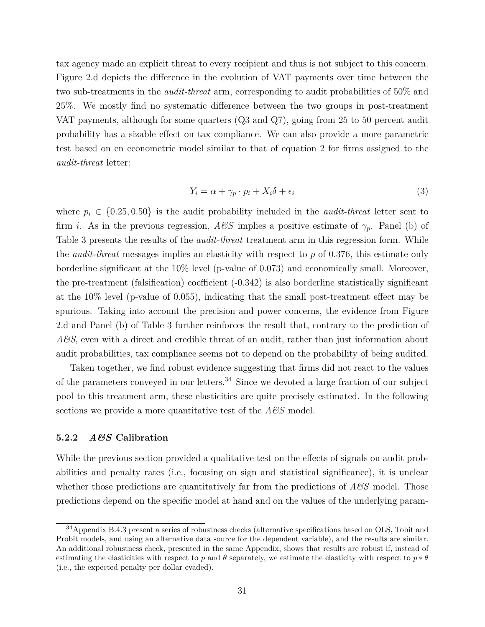tax agency made an explicit threat to every recipient and thus is not subject to this concern. Figure 2.d depicts the difference in the evolution of VAT payments over time between the two sub-treatments in the *audit-threat* arm, corresponding to audit probabilities of 50% and 25%. We mostly find no systematic difference between the two groups in post-treatment VAT payments, although for some quarters (Q3 and Q7), going from 25 to 50 percent audit probability has a sizable effect on tax compliance. We can also provide a more parametric test based on en econometric model similar to that of equation 2 for firms assigned to the *audit-threat* letter:

$$
Y_i = \alpha + \gamma_p \cdot p_i + X_i \delta + \epsilon_i \tag{3}
$$

where  $p_i \in \{0.25, 0.50\}$  is the audit probability included in the *audit-threat* letter sent to firm *i*. As in the previous regression,  $A\mathscr{C}S$  implies a positive estimate of  $\gamma_p$ . Panel (b) of Table 3 presents the results of the *audit-threat* treatment arm in this regression form. While the *audit-threat* messages implies an elasticity with respect to *p* of 0.376, this estimate only borderline significant at the 10% level (p-value of 0.073) and economically small. Moreover, the pre-treatment (falsification) coefficient (-0.342) is also borderline statistically significant at the 10% level (p-value of 0.055), indicating that the small post-treatment effect may be spurious. Taking into account the precision and power concerns, the evidence from Figure 2.d and Panel (b) of Table 3 further reinforces the result that, contrary to the prediction of *A&S*, even with a direct and credible threat of an audit, rather than just information about audit probabilities, tax compliance seems not to depend on the probability of being audited.

Taken together, we find robust evidence suggesting that firms did not react to the values of the parameters conveyed in our letters.<sup>34</sup> Since we devoted a large fraction of our subject pool to this treatment arm, these elasticities are quite precisely estimated. In the following sections we provide a more quantitative test of the *A&S* model.

#### **5.2.2** *A&S* **Calibration**

While the previous section provided a qualitative test on the effects of signals on audit probabilities and penalty rates (i.e., focusing on sign and statistical significance), it is unclear whether those predictions are quantitatively far from the predictions of  $A\mathscr{B}S$  model. Those predictions depend on the specific model at hand and on the values of the underlying param-

<sup>34</sup>Appendix B.4.3 present a series of robustness checks (alternative specifications based on OLS, Tobit and Probit models, and using an alternative data source for the dependent variable), and the results are similar. An additional robustness check, presented in the same Appendix, shows that results are robust if, instead of estimating the elasticities with respect to *p* and  $\theta$  separately, we estimate the elasticity with respect to  $p * \theta$ (i.e., the expected penalty per dollar evaded).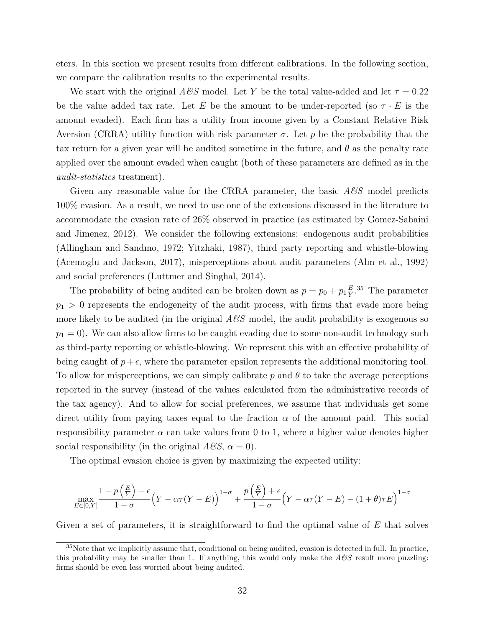eters. In this section we present results from different calibrations. In the following section, we compare the calibration results to the experimental results.

We start with the original  $A\mathscr{B}S$  model. Let Y be the total value-added and let  $\tau = 0.22$ be the value added tax rate. Let *E* be the amount to be under-reported (so  $\tau \cdot E$  is the amount evaded). Each firm has a utility from income given by a Constant Relative Risk Aversion (CRRA) utility function with risk parameter  $\sigma$ . Let  $p$  be the probability that the tax return for a given year will be audited sometime in the future, and *θ* as the penalty rate applied over the amount evaded when caught (both of these parameters are defined as in the *audit-statistics* treatment).

Given any reasonable value for the CRRA parameter, the basic  $A\mathscr{C}S$  model predicts 100% evasion. As a result, we need to use one of the extensions discussed in the literature to accommodate the evasion rate of 26% observed in practice (as estimated by Gomez-Sabaini and Jimenez, 2012). We consider the following extensions: endogenous audit probabilities (Allingham and Sandmo, 1972; Yitzhaki, 1987), third party reporting and whistle-blowing (Acemoglu and Jackson, 2017), misperceptions about audit parameters (Alm et al., 1992) and social preferences (Luttmer and Singhal, 2014).

The probability of being audited can be broken down as  $p = p_0 + p_1 \frac{E}{Y}$  $\frac{E}{Y}$ <sup>35</sup> The parameter  $p_1 > 0$  represents the endogeneity of the audit process, with firms that evade more being more likely to be audited (in the original  $A\mathscr{B}S$  model, the audit probability is exogenous so  $p_1 = 0$ ). We can also allow firms to be caught evading due to some non-audit technology such as third-party reporting or whistle-blowing. We represent this with an effective probability of being caught of  $p+\epsilon$ , where the parameter epsilon represents the additional monitoring tool. To allow for misperceptions, we can simply calibrate  $p$  and  $\theta$  to take the average perceptions reported in the survey (instead of the values calculated from the administrative records of the tax agency). And to allow for social preferences, we assume that individuals get some direct utility from paying taxes equal to the fraction  $\alpha$  of the amount paid. This social responsibility parameter  $\alpha$  can take values from 0 to 1, where a higher value denotes higher social responsibility (in the original  $A\mathscr{C}S$ ,  $\alpha = 0$ ).

The optimal evasion choice is given by maximizing the expected utility:

$$
\max_{E \in [0,Y]} \frac{1 - p\left(\frac{E}{Y}\right) - \epsilon}{1 - \sigma} \left(Y - \alpha \tau (Y - E)\right)^{1 - \sigma} + \frac{p\left(\frac{E}{Y}\right) + \epsilon}{1 - \sigma} \left(Y - \alpha \tau (Y - E) - (1 + \theta)\tau E\right)^{1 - \sigma}
$$

Given a set of parameters, it is straightforward to find the optimal value of *E* that solves

<sup>&</sup>lt;sup>35</sup>Note that we implicitly assume that, conditional on being audited, evasion is detected in full. In practice, this probability may be smaller than 1. If anything, this would only make the  $A\&S$  result more puzzling: firms should be even less worried about being audited.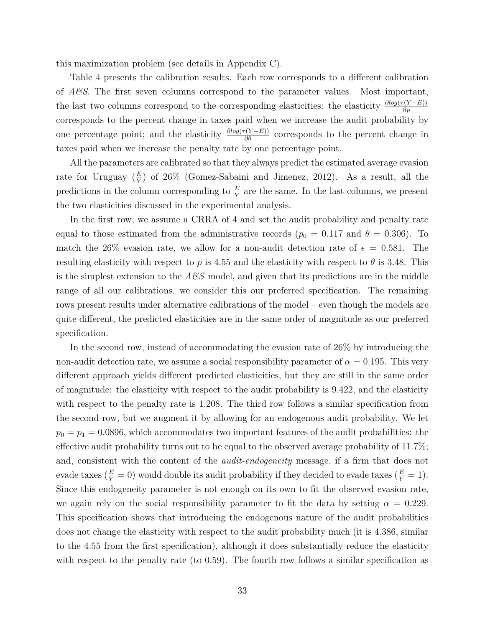this maximization problem (see details in Appendix C).

Table 4 presents the calibration results. Each row corresponds to a different calibration of *A&S*. The first seven columns correspond to the parameter values. Most important, the last two columns correspond to the corresponding elasticities: the elasticity  $\frac{\partial log(\tau(Y-E))}{\partial p}$ corresponds to the percent change in taxes paid when we increase the audit probability by one percentage point; and the elasticity  $\frac{\partial log(\tau(Y-E))}{\partial \theta}$  corresponds to the percent change in taxes paid when we increase the penalty rate by one percentage point.

All the parameters are calibrated so that they always predict the estimated average evasion rate for Uruguay  $(\frac{E}{Y})$  of 26% (Gomez-Sabaini and Jimenez, 2012). As a result, all the predictions in the column corresponding to  $\frac{E}{Y}$  are the same. In the last columns, we present the two elasticities discussed in the experimental analysis.

In the first row, we assume a CRRA of 4 and set the audit probability and penalty rate equal to those estimated from the administrative records ( $p_0 = 0.117$  and  $\theta = 0.306$ ). To match the 26% evasion rate, we allow for a non-audit detection rate of  $\epsilon = 0.581$ . The resulting elasticity with respect to *p* is 4.55 and the elasticity with respect to  $\theta$  is 3.48. This is the simplest extension to the  $A\&S$  model, and given that its predictions are in the middle range of all our calibrations, we consider this our preferred specification. The remaining rows present results under alternative calibrations of the model – even though the models are quite different, the predicted elasticities are in the same order of magnitude as our preferred specification.

In the second row, instead of accommodating the evasion rate of 26% by introducing the non-audit detection rate, we assume a social responsibility parameter of  $\alpha = 0.195$ . This very different approach yields different predicted elasticities, but they are still in the same order of magnitude: the elasticity with respect to the audit probability is 9.422, and the elasticity with respect to the penalty rate is 1.208. The third row follows a similar specification from the second row, but we augment it by allowing for an endogenous audit probability. We let  $p_0 = p_1 = 0.0896$ , which accommodates two important features of the audit probabilities: the effective audit probability turns out to be equal to the observed average probability of 11.7%; and, consistent with the content of the *audit-endogeneity* message, if a firm that does not evade taxes  $(\frac{E}{Y} = 0)$  would double its audit probability if they decided to evade taxes  $(\frac{E}{Y} = 1)$ . Since this endogeneity parameter is not enough on its own to fit the observed evasion rate, we again rely on the social responsibility parameter to fit the data by setting  $\alpha = 0.229$ . This specification shows that introducing the endogenous nature of the audit probabilities does not change the elasticity with respect to the audit probability much (it is 4.386, similar to the 4.55 from the first specification), although it does substantially reduce the elasticity with respect to the penalty rate (to 0.59). The fourth row follows a similar specification as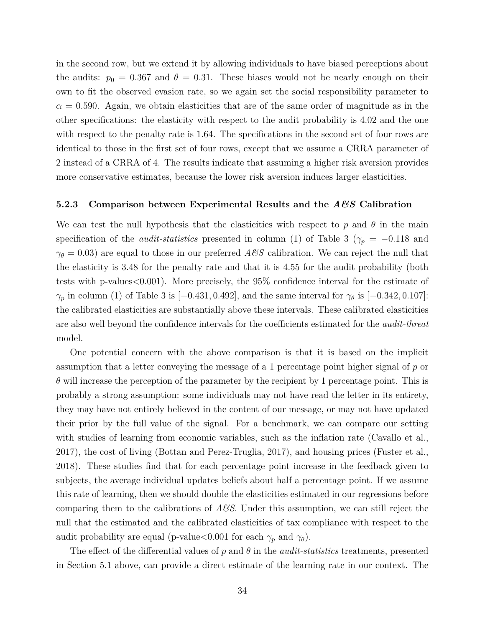in the second row, but we extend it by allowing individuals to have biased perceptions about the audits:  $p_0 = 0.367$  and  $\theta = 0.31$ . These biases would not be nearly enough on their own to fit the observed evasion rate, so we again set the social responsibility parameter to  $\alpha = 0.590$ . Again, we obtain elasticities that are of the same order of magnitude as in the other specifications: the elasticity with respect to the audit probability is 4.02 and the one with respect to the penalty rate is 1.64. The specifications in the second set of four rows are identical to those in the first set of four rows, except that we assume a CRRA parameter of 2 instead of a CRRA of 4. The results indicate that assuming a higher risk aversion provides more conservative estimates, because the lower risk aversion induces larger elasticities.

#### **5.2.3 Comparison between Experimental Results and the** *A&S* **Calibration**

We can test the null hypothesis that the elasticities with respect to  $p$  and  $\theta$  in the main specification of the *audit-statistics* presented in column (1) of Table 3 ( $\gamma_p = -0.118$  and  $\gamma_{\theta} = 0.03$  are equal to those in our preferred *A&S* calibration. We can reject the null that the elasticity is 3.48 for the penalty rate and that it is 4.55 for the audit probability (both tests with p-values<0.001). More precisely, the 95% confidence interval for the estimate of *γ*<sub>*p*</sub> in column (1) of Table 3 is [−0*.*431*,* 0*.*492], and the same interval for  $γ$ *θ* is [−0*.*342*,* 0*.*107]: the calibrated elasticities are substantially above these intervals. These calibrated elasticities are also well beyond the confidence intervals for the coefficients estimated for the *audit-threat* model.

One potential concern with the above comparison is that it is based on the implicit assumption that a letter conveying the message of a 1 percentage point higher signal of *p* or *θ* will increase the perception of the parameter by the recipient by 1 percentage point. This is probably a strong assumption: some individuals may not have read the letter in its entirety, they may have not entirely believed in the content of our message, or may not have updated their prior by the full value of the signal. For a benchmark, we can compare our setting with studies of learning from economic variables, such as the inflation rate (Cavallo et al., 2017), the cost of living (Bottan and Perez-Truglia, 2017), and housing prices (Fuster et al., 2018). These studies find that for each percentage point increase in the feedback given to subjects, the average individual updates beliefs about half a percentage point. If we assume this rate of learning, then we should double the elasticities estimated in our regressions before comparing them to the calibrations of *A&S*. Under this assumption, we can still reject the null that the estimated and the calibrated elasticities of tax compliance with respect to the audit probability are equal (p-value  $< 0.001$  for each  $\gamma_p$  and  $\gamma_\theta$ ).

The effect of the differential values of *p* and *θ* in the *audit-statistics* treatments, presented in Section 5.1 above, can provide a direct estimate of the learning rate in our context. The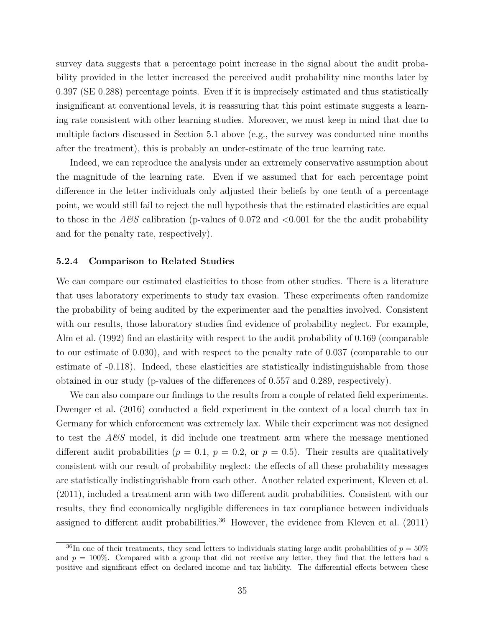survey data suggests that a percentage point increase in the signal about the audit probability provided in the letter increased the perceived audit probability nine months later by 0.397 (SE 0.288) percentage points. Even if it is imprecisely estimated and thus statistically insignificant at conventional levels, it is reassuring that this point estimate suggests a learning rate consistent with other learning studies. Moreover, we must keep in mind that due to multiple factors discussed in Section 5.1 above (e.g., the survey was conducted nine months after the treatment), this is probably an under-estimate of the true learning rate.

Indeed, we can reproduce the analysis under an extremely conservative assumption about the magnitude of the learning rate. Even if we assumed that for each percentage point difference in the letter individuals only adjusted their beliefs by one tenth of a percentage point, we would still fail to reject the null hypothesis that the estimated elasticities are equal to those in the  $A\&S$  calibration (p-values of 0.072 and  $\langle 0.001 \rangle$  for the the audit probability and for the penalty rate, respectively).

#### **5.2.4 Comparison to Related Studies**

We can compare our estimated elasticities to those from other studies. There is a literature that uses laboratory experiments to study tax evasion. These experiments often randomize the probability of being audited by the experimenter and the penalties involved. Consistent with our results, those laboratory studies find evidence of probability neglect. For example, Alm et al. (1992) find an elasticity with respect to the audit probability of 0.169 (comparable to our estimate of 0.030), and with respect to the penalty rate of 0.037 (comparable to our estimate of -0.118). Indeed, these elasticities are statistically indistinguishable from those obtained in our study (p-values of the differences of 0.557 and 0.289, respectively).

We can also compare our findings to the results from a couple of related field experiments. Dwenger et al. (2016) conducted a field experiment in the context of a local church tax in Germany for which enforcement was extremely lax. While their experiment was not designed to test the *A&S* model, it did include one treatment arm where the message mentioned different audit probabilities ( $p = 0.1$ ,  $p = 0.2$ , or  $p = 0.5$ ). Their results are qualitatively consistent with our result of probability neglect: the effects of all these probability messages are statistically indistinguishable from each other. Another related experiment, Kleven et al. (2011), included a treatment arm with two different audit probabilities. Consistent with our results, they find economically negligible differences in tax compliance between individuals assigned to different audit probabilities.<sup>36</sup> However, the evidence from Kleven et al.  $(2011)$ 

<sup>&</sup>lt;sup>36</sup>In one of their treatments, they send letters to individuals stating large audit probabilities of  $p = 50\%$ and  $p = 100\%$ . Compared with a group that did not receive any letter, they find that the letters had a positive and significant effect on declared income and tax liability. The differential effects between these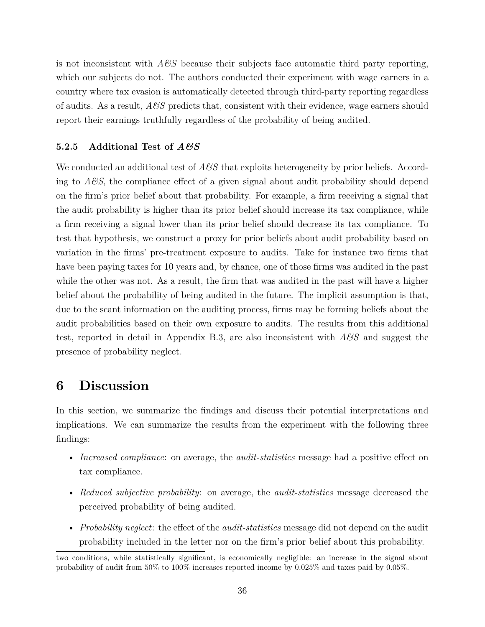is not inconsistent with *A&S* because their subjects face automatic third party reporting, which our subjects do not. The authors conducted their experiment with wage earners in a country where tax evasion is automatically detected through third-party reporting regardless of audits. As a result, *A&S* predicts that, consistent with their evidence, wage earners should report their earnings truthfully regardless of the probability of being audited.

### **5.2.5 Additional Test of** *A&S*

We conducted an additional test of *A&S* that exploits heterogeneity by prior beliefs. According to  $A\mathcal{B}S$ , the compliance effect of a given signal about audit probability should depend on the firm's prior belief about that probability. For example, a firm receiving a signal that the audit probability is higher than its prior belief should increase its tax compliance, while a firm receiving a signal lower than its prior belief should decrease its tax compliance. To test that hypothesis, we construct a proxy for prior beliefs about audit probability based on variation in the firms' pre-treatment exposure to audits. Take for instance two firms that have been paying taxes for 10 years and, by chance, one of those firms was audited in the past while the other was not. As a result, the firm that was audited in the past will have a higher belief about the probability of being audited in the future. The implicit assumption is that, due to the scant information on the auditing process, firms may be forming beliefs about the audit probabilities based on their own exposure to audits. The results from this additional test, reported in detail in Appendix B.3, are also inconsistent with *A&S* and suggest the presence of probability neglect.

## **6 Discussion**

In this section, we summarize the findings and discuss their potential interpretations and implications. We can summarize the results from the experiment with the following three findings:

- *Increased compliance*: on average, the *audit-statistics* message had a positive effect on tax compliance.
- *Reduced subjective probability*: on average, the *audit-statistics* message decreased the perceived probability of being audited.
- *Probability neglect*: the effect of the *audit-statistics* message did not depend on the audit probability included in the letter nor on the firm's prior belief about this probability.

two conditions, while statistically significant, is economically negligible: an increase in the signal about probability of audit from 50% to 100% increases reported income by 0.025% and taxes paid by 0.05%.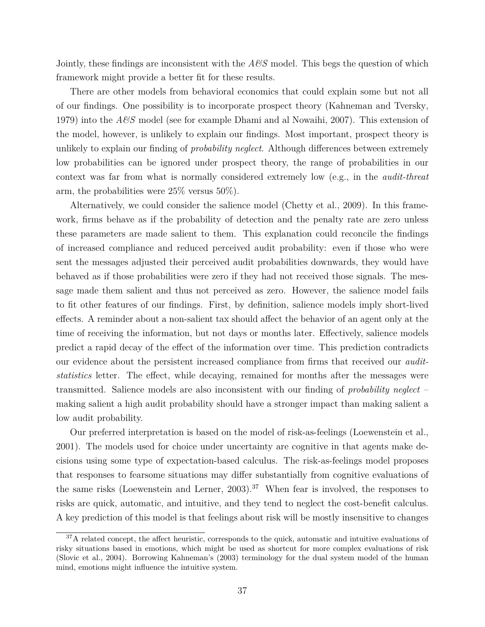Jointly, these findings are inconsistent with the *A&S* model. This begs the question of which framework might provide a better fit for these results.

There are other models from behavioral economics that could explain some but not all of our findings. One possibility is to incorporate prospect theory (Kahneman and Tversky, 1979) into the *A&S* model (see for example Dhami and al Nowaihi, 2007). This extension of the model, however, is unlikely to explain our findings. Most important, prospect theory is unlikely to explain our finding of *probability neglect*. Although differences between extremely low probabilities can be ignored under prospect theory, the range of probabilities in our context was far from what is normally considered extremely low (e.g., in the *audit-threat* arm, the probabilities were 25% versus 50%).

Alternatively, we could consider the salience model (Chetty et al., 2009). In this framework, firms behave as if the probability of detection and the penalty rate are zero unless these parameters are made salient to them. This explanation could reconcile the findings of increased compliance and reduced perceived audit probability: even if those who were sent the messages adjusted their perceived audit probabilities downwards, they would have behaved as if those probabilities were zero if they had not received those signals. The message made them salient and thus not perceived as zero. However, the salience model fails to fit other features of our findings. First, by definition, salience models imply short-lived effects. A reminder about a non-salient tax should affect the behavior of an agent only at the time of receiving the information, but not days or months later. Effectively, salience models predict a rapid decay of the effect of the information over time. This prediction contradicts our evidence about the persistent increased compliance from firms that received our *auditstatistics* letter. The effect, while decaying, remained for months after the messages were transmitted. Salience models are also inconsistent with our finding of *probability neglect* – making salient a high audit probability should have a stronger impact than making salient a low audit probability.

Our preferred interpretation is based on the model of risk-as-feelings (Loewenstein et al., 2001). The models used for choice under uncertainty are cognitive in that agents make decisions using some type of expectation-based calculus. The risk-as-feelings model proposes that responses to fearsome situations may differ substantially from cognitive evaluations of the same risks (Loewenstein and Lerner,  $2003$ ).<sup>37</sup> When fear is involved, the responses to risks are quick, automatic, and intuitive, and they tend to neglect the cost-benefit calculus. A key prediction of this model is that feelings about risk will be mostly insensitive to changes

<sup>&</sup>lt;sup>37</sup>A related concept, the affect heuristic, corresponds to the quick, automatic and intuitive evaluations of risky situations based in emotions, which might be used as shortcut for more complex evaluations of risk (Slovic et al., 2004). Borrowing Kahneman's (2003) terminology for the dual system model of the human mind, emotions might influence the intuitive system.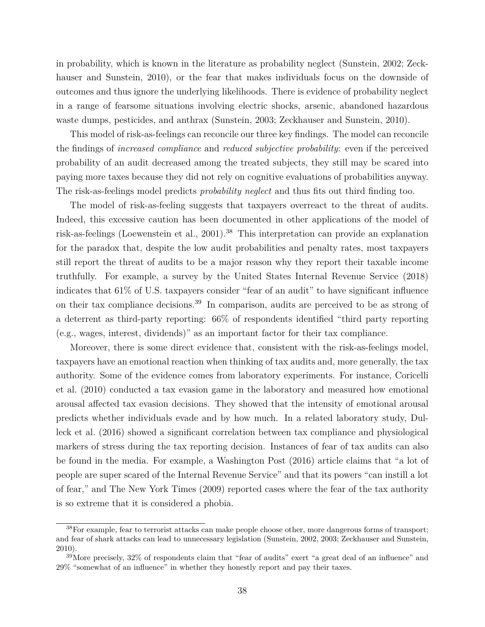in probability, which is known in the literature as probability neglect (Sunstein, 2002; Zeckhauser and Sunstein, 2010), or the fear that makes individuals focus on the downside of outcomes and thus ignore the underlying likelihoods. There is evidence of probability neglect in a range of fearsome situations involving electric shocks, arsenic, abandoned hazardous waste dumps, pesticides, and anthrax (Sunstein, 2003; Zeckhauser and Sunstein, 2010).

This model of risk-as-feelings can reconcile our three key findings. The model can reconcile the findings of *increased compliance* and *reduced subjective probability*: even if the perceived probability of an audit decreased among the treated subjects, they still may be scared into paying more taxes because they did not rely on cognitive evaluations of probabilities anyway. The risk-as-feelings model predicts *probability neglect* and thus fits out third finding too.

The model of risk-as-feeling suggests that taxpayers overreact to the threat of audits. Indeed, this excessive caution has been documented in other applications of the model of risk-as-feelings (Loewenstein et al., 2001).<sup>38</sup> This interpretation can provide an explanation for the paradox that, despite the low audit probabilities and penalty rates, most taxpayers still report the threat of audits to be a major reason why they report their taxable income truthfully. For example, a survey by the United States Internal Revenue Service (2018) indicates that 61% of U.S. taxpayers consider "fear of an audit" to have significant influence on their tax compliance decisions.<sup>39</sup> In comparison, audits are perceived to be as strong of a deterrent as third-party reporting: 66% of respondents identified "third party reporting (e.g., wages, interest, dividends)" as an important factor for their tax compliance.

Moreover, there is some direct evidence that, consistent with the risk-as-feelings model, taxpayers have an emotional reaction when thinking of tax audits and, more generally, the tax authority. Some of the evidence comes from laboratory experiments. For instance, Coricelli et al. (2010) conducted a tax evasion game in the laboratory and measured how emotional arousal affected tax evasion decisions. They showed that the intensity of emotional arousal predicts whether individuals evade and by how much. In a related laboratory study, Dulleck et al. (2016) showed a significant correlation between tax compliance and physiological markers of stress during the tax reporting decision. Instances of fear of tax audits can also be found in the media. For example, a Washington Post (2016) article claims that "a lot of people are super scared of the Internal Revenue Service" and that its powers "can instill a lot of fear," and The New York Times (2009) reported cases where the fear of the tax authority is so extreme that it is considered a phobia.

<sup>38</sup>For example, fear to terrorist attacks can make people choose other, more dangerous forms of transport; and fear of shark attacks can lead to unnecessary legislation (Sunstein, 2002, 2003; Zeckhauser and Sunstein, 2010).

 $39$ More precisely,  $32\%$  of respondents claim that "fear of audits" exert "a great deal of an influence" and 29% "somewhat of an influence" in whether they honestly report and pay their taxes.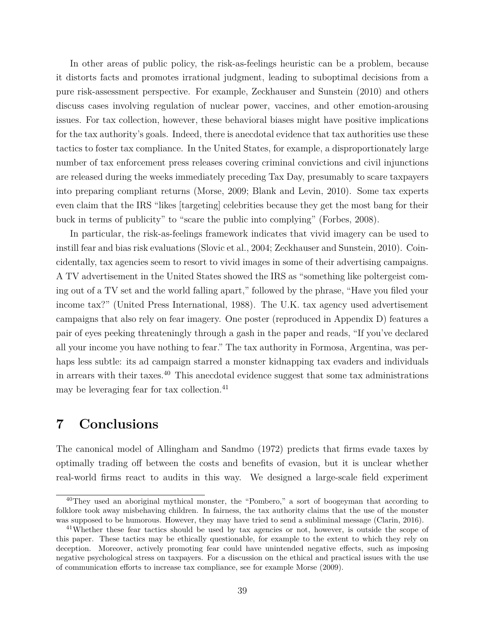In other areas of public policy, the risk-as-feelings heuristic can be a problem, because it distorts facts and promotes irrational judgment, leading to suboptimal decisions from a pure risk-assessment perspective. For example, Zeckhauser and Sunstein (2010) and others discuss cases involving regulation of nuclear power, vaccines, and other emotion-arousing issues. For tax collection, however, these behavioral biases might have positive implications for the tax authority's goals. Indeed, there is anecdotal evidence that tax authorities use these tactics to foster tax compliance. In the United States, for example, a disproportionately large number of tax enforcement press releases covering criminal convictions and civil injunctions are released during the weeks immediately preceding Tax Day, presumably to scare taxpayers into preparing compliant returns (Morse, 2009; Blank and Levin, 2010). Some tax experts even claim that the IRS "likes [targeting] celebrities because they get the most bang for their buck in terms of publicity" to "scare the public into complying" (Forbes, 2008).

In particular, the risk-as-feelings framework indicates that vivid imagery can be used to instill fear and bias risk evaluations (Slovic et al., 2004; Zeckhauser and Sunstein, 2010). Coincidentally, tax agencies seem to resort to vivid images in some of their advertising campaigns. A TV advertisement in the United States showed the IRS as "something like poltergeist coming out of a TV set and the world falling apart," followed by the phrase, "Have you filed your income tax?" (United Press International, 1988). The U.K. tax agency used advertisement campaigns that also rely on fear imagery. One poster (reproduced in Appendix D) features a pair of eyes peeking threateningly through a gash in the paper and reads, "If you've declared all your income you have nothing to fear." The tax authority in Formosa, Argentina, was perhaps less subtle: its ad campaign starred a monster kidnapping tax evaders and individuals in arrears with their taxes.<sup>40</sup> This anecdotal evidence suggest that some tax administrations may be leveraging fear for tax collection.<sup>41</sup>

### **7 Conclusions**

The canonical model of Allingham and Sandmo (1972) predicts that firms evade taxes by optimally trading off between the costs and benefits of evasion, but it is unclear whether real-world firms react to audits in this way. We designed a large-scale field experiment

<sup>&</sup>lt;sup>40</sup>They used an aboriginal mythical monster, the "Pombero," a sort of boogeyman that according to folklore took away misbehaving children. In fairness, the tax authority claims that the use of the monster was supposed to be humorous. However, they may have tried to send a subliminal message (Clarin, 2016).

<sup>&</sup>lt;sup>41</sup>Whether these fear tactics should be used by tax agencies or not, however, is outside the scope of this paper. These tactics may be ethically questionable, for example to the extent to which they rely on deception. Moreover, actively promoting fear could have unintended negative effects, such as imposing negative psychological stress on taxpayers. For a discussion on the ethical and practical issues with the use of communication efforts to increase tax compliance, see for example Morse (2009).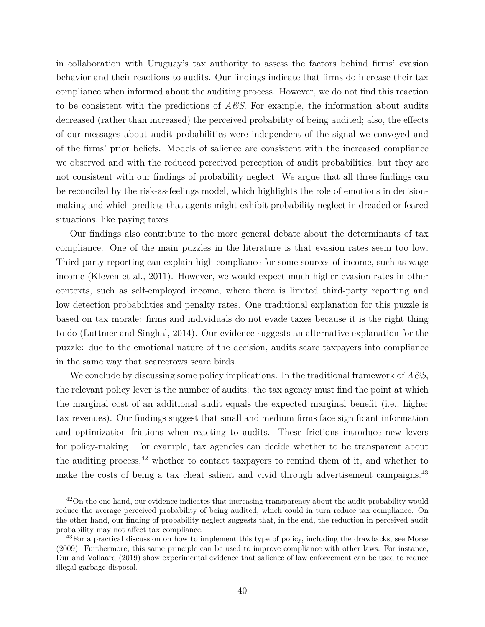in collaboration with Uruguay's tax authority to assess the factors behind firms' evasion behavior and their reactions to audits. Our findings indicate that firms do increase their tax compliance when informed about the auditing process. However, we do not find this reaction to be consistent with the predictions of *A&S*. For example, the information about audits decreased (rather than increased) the perceived probability of being audited; also, the effects of our messages about audit probabilities were independent of the signal we conveyed and of the firms' prior beliefs. Models of salience are consistent with the increased compliance we observed and with the reduced perceived perception of audit probabilities, but they are not consistent with our findings of probability neglect. We argue that all three findings can be reconciled by the risk-as-feelings model, which highlights the role of emotions in decisionmaking and which predicts that agents might exhibit probability neglect in dreaded or feared situations, like paying taxes.

Our findings also contribute to the more general debate about the determinants of tax compliance. One of the main puzzles in the literature is that evasion rates seem too low. Third-party reporting can explain high compliance for some sources of income, such as wage income (Kleven et al., 2011). However, we would expect much higher evasion rates in other contexts, such as self-employed income, where there is limited third-party reporting and low detection probabilities and penalty rates. One traditional explanation for this puzzle is based on tax morale: firms and individuals do not evade taxes because it is the right thing to do (Luttmer and Singhal, 2014). Our evidence suggests an alternative explanation for the puzzle: due to the emotional nature of the decision, audits scare taxpayers into compliance in the same way that scarecrows scare birds.

We conclude by discussing some policy implications. In the traditional framework of *A&S*, the relevant policy lever is the number of audits: the tax agency must find the point at which the marginal cost of an additional audit equals the expected marginal benefit (i.e., higher tax revenues). Our findings suggest that small and medium firms face significant information and optimization frictions when reacting to audits. These frictions introduce new levers for policy-making. For example, tax agencies can decide whether to be transparent about the auditing process, $42$  whether to contact taxpayers to remind them of it, and whether to make the costs of being a tax cheat salient and vivid through advertisement campaigns.<sup>43</sup>

 $42$ On the one hand, our evidence indicates that increasing transparency about the audit probability would reduce the average perceived probability of being audited, which could in turn reduce tax compliance. On the other hand, our finding of probability neglect suggests that, in the end, the reduction in perceived audit probability may not affect tax compliance.

<sup>&</sup>lt;sup>43</sup>For a practical discussion on how to implement this type of policy, including the drawbacks, see Morse (2009). Furthermore, this same principle can be used to improve compliance with other laws. For instance, Dur and Vollaard (2019) show experimental evidence that salience of law enforcement can be used to reduce illegal garbage disposal.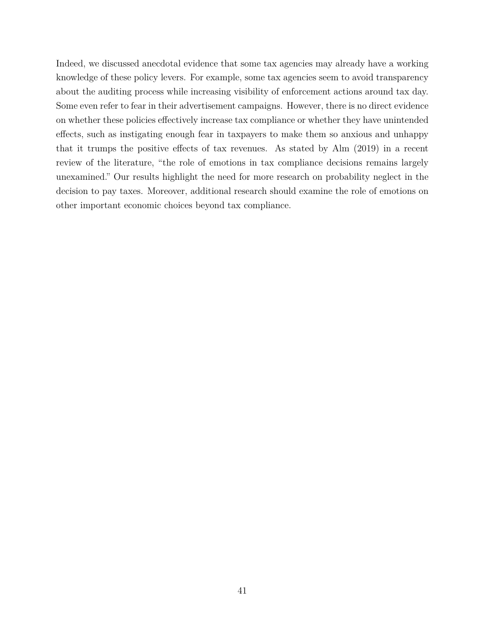Indeed, we discussed anecdotal evidence that some tax agencies may already have a working knowledge of these policy levers. For example, some tax agencies seem to avoid transparency about the auditing process while increasing visibility of enforcement actions around tax day. Some even refer to fear in their advertisement campaigns. However, there is no direct evidence on whether these policies effectively increase tax compliance or whether they have unintended effects, such as instigating enough fear in taxpayers to make them so anxious and unhappy that it trumps the positive effects of tax revenues. As stated by Alm (2019) in a recent review of the literature, "the role of emotions in tax compliance decisions remains largely unexamined." Our results highlight the need for more research on probability neglect in the decision to pay taxes. Moreover, additional research should examine the role of emotions on other important economic choices beyond tax compliance.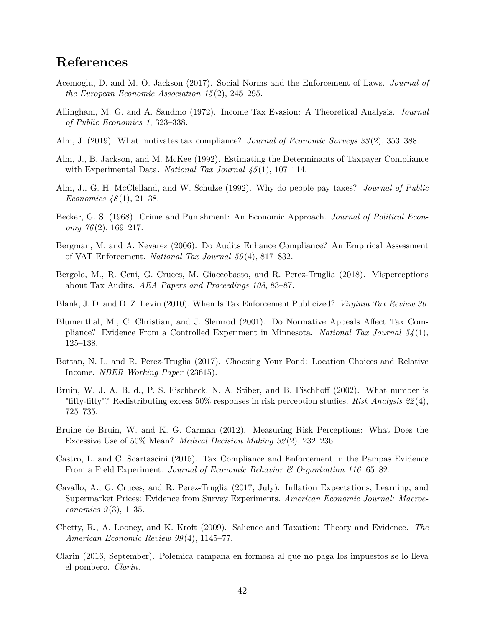### **References**

- Acemoglu, D. and M. O. Jackson (2017). Social Norms and the Enforcement of Laws. *Journal of the European Economic Association 15* (2), 245–295.
- Allingham, M. G. and A. Sandmo (1972). Income Tax Evasion: A Theoretical Analysis. *Journal of Public Economics 1*, 323–338.
- Alm, J. (2019). What motivates tax compliance? *Journal of Economic Surveys 33* (2), 353–388.
- Alm, J., B. Jackson, and M. McKee (1992). Estimating the Determinants of Taxpayer Compliance with Experimental Data. *National Tax Journal 45* (1), 107–114.
- Alm, J., G. H. McClelland, and W. Schulze (1992). Why do people pay taxes? *Journal of Public Economics 48* (1), 21–38.
- Becker, G. S. (1968). Crime and Punishment: An Economic Approach. *Journal of Political Economy 76* (2), 169–217.
- Bergman, M. and A. Nevarez (2006). Do Audits Enhance Compliance? An Empirical Assessment of VAT Enforcement. *National Tax Journal 59* (4), 817–832.
- Bergolo, M., R. Ceni, G. Cruces, M. Giaccobasso, and R. Perez-Truglia (2018). Misperceptions about Tax Audits. *AEA Papers and Proceedings 108*, 83–87.
- Blank, J. D. and D. Z. Levin (2010). When Is Tax Enforcement Publicized? *Virginia Tax Review 30*.
- Blumenthal, M., C. Christian, and J. Slemrod (2001). Do Normative Appeals Affect Tax Compliance? Evidence From a Controlled Experiment in Minnesota. *National Tax Journal 54* (1), 125–138.
- Bottan, N. L. and R. Perez-Truglia (2017). Choosing Your Pond: Location Choices and Relative Income. *NBER Working Paper* (23615).
- Bruin, W. J. A. B. d., P. S. Fischbeck, N. A. Stiber, and B. Fischhoff (2002). What number is "fifty-fifty"? Redistributing excess 50% responses in risk perception studies. *Risk Analysis 22* (4), 725–735.
- Bruine de Bruin, W. and K. G. Carman (2012). Measuring Risk Perceptions: What Does the Excessive Use of 50% Mean? *Medical Decision Making 32* (2), 232–236.
- Castro, L. and C. Scartascini (2015). Tax Compliance and Enforcement in the Pampas Evidence From a Field Experiment. *Journal of Economic Behavior & Organization 116*, 65–82.
- Cavallo, A., G. Cruces, and R. Perez-Truglia (2017, July). Inflation Expectations, Learning, and Supermarket Prices: Evidence from Survey Experiments. *American Economic Journal: Macroeconomics 9* (3), 1–35.
- Chetty, R., A. Looney, and K. Kroft (2009). Salience and Taxation: Theory and Evidence. *The American Economic Review 99* (4), 1145–77.
- Clarin (2016, September). Polemica campana en formosa al que no paga los impuestos se lo lleva el pombero. *Clarin*.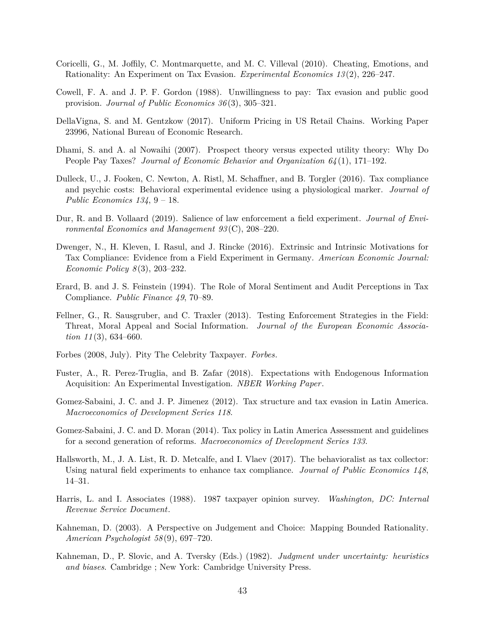- Coricelli, G., M. Joffily, C. Montmarquette, and M. C. Villeval (2010). Cheating, Emotions, and Rationality: An Experiment on Tax Evasion. *Experimental Economics 13* (2), 226–247.
- Cowell, F. A. and J. P. F. Gordon (1988). Unwillingness to pay: Tax evasion and public good provision. *Journal of Public Economics 36* (3), 305–321.
- DellaVigna, S. and M. Gentzkow (2017). Uniform Pricing in US Retail Chains. Working Paper 23996, National Bureau of Economic Research.
- Dhami, S. and A. al Nowaihi (2007). Prospect theory versus expected utility theory: Why Do People Pay Taxes? *Journal of Economic Behavior and Organization 64* (1), 171–192.
- Dulleck, U., J. Fooken, C. Newton, A. Ristl, M. Schaffner, and B. Torgler (2016). Tax compliance and psychic costs: Behavioral experimental evidence using a physiological marker. *Journal of Public Economics 134*, 9 – 18.
- Dur, R. and B. Vollaard (2019). Salience of law enforcement a field experiment. *Journal of Environmental Economics and Management 93* (C), 208–220.
- Dwenger, N., H. Kleven, I. Rasul, and J. Rincke (2016). Extrinsic and Intrinsic Motivations for Tax Compliance: Evidence from a Field Experiment in Germany. *American Economic Journal: Economic Policy 8* (3), 203–232.
- Erard, B. and J. S. Feinstein (1994). The Role of Moral Sentiment and Audit Perceptions in Tax Compliance. *Public Finance 49*, 70–89.
- Fellner, G., R. Sausgruber, and C. Traxler (2013). Testing Enforcement Strategies in the Field: Threat, Moral Appeal and Social Information. *Journal of the European Economic Association 11* (3), 634–660.
- Forbes (2008, July). Pity The Celebrity Taxpayer. *Forbes*.
- Fuster, A., R. Perez-Truglia, and B. Zafar (2018). Expectations with Endogenous Information Acquisition: An Experimental Investigation. *NBER Working Paper*.
- Gomez-Sabaini, J. C. and J. P. Jimenez (2012). Tax structure and tax evasion in Latin America. *Macroeconomics of Development Series 118*.
- Gomez-Sabaini, J. C. and D. Moran (2014). Tax policy in Latin America Assessment and guidelines for a second generation of reforms. *Macroeconomics of Development Series 133*.
- Hallsworth, M., J. A. List, R. D. Metcalfe, and I. Vlaev (2017). The behavioralist as tax collector: Using natural field experiments to enhance tax compliance. *Journal of Public Economics 148*, 14–31.
- Harris, L. and I. Associates (1988). 1987 taxpayer opinion survey. *Washington, DC: Internal Revenue Service Document*.
- Kahneman, D. (2003). A Perspective on Judgement and Choice: Mapping Bounded Rationality. *American Psychologist 58* (9), 697–720.
- Kahneman, D., P. Slovic, and A. Tversky (Eds.) (1982). *Judgment under uncertainty: heuristics and biases*. Cambridge ; New York: Cambridge University Press.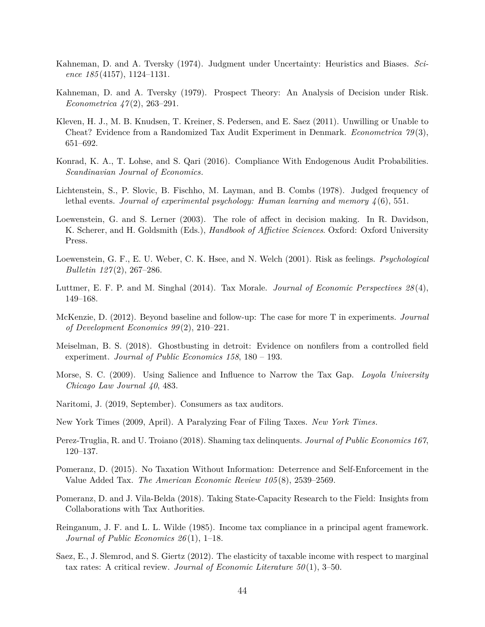- Kahneman, D. and A. Tversky (1974). Judgment under Uncertainty: Heuristics and Biases. *Science 185* (4157), 1124–1131.
- Kahneman, D. and A. Tversky (1979). Prospect Theory: An Analysis of Decision under Risk. *Econometrica 47* (2), 263–291.
- Kleven, H. J., M. B. Knudsen, T. Kreiner, S. Pedersen, and E. Saez (2011). Unwilling or Unable to Cheat? Evidence from a Randomized Tax Audit Experiment in Denmark. *Econometrica 79* (3), 651–692.
- Konrad, K. A., T. Lohse, and S. Qari (2016). Compliance With Endogenous Audit Probabilities. *Scandinavian Journal of Economics*.
- Lichtenstein, S., P. Slovic, B. Fischho, M. Layman, and B. Combs (1978). Judged frequency of lethal events. *Journal of experimental psychology: Human learning and memory 4* (6), 551.
- Loewenstein, G. and S. Lerner (2003). The role of affect in decision making. In R. Davidson, K. Scherer, and H. Goldsmith (Eds.), *Handbook of Affictive Sciences*. Oxford: Oxford University Press.
- Loewenstein, G. F., E. U. Weber, C. K. Hsee, and N. Welch (2001). Risk as feelings. *Psychological Bulletin 127* (2), 267–286.
- Luttmer, E. F. P. and M. Singhal (2014). Tax Morale. *Journal of Economic Perspectives 28* (4), 149–168.
- McKenzie, D. (2012). Beyond baseline and follow-up: The case for more T in experiments. *Journal of Development Economics 99* (2), 210–221.
- Meiselman, B. S. (2018). Ghostbusting in detroit: Evidence on nonfilers from a controlled field experiment. *Journal of Public Economics 158*, 180 – 193.
- Morse, S. C. (2009). Using Salience and Influence to Narrow the Tax Gap. *Loyola University Chicago Law Journal 40*, 483.
- Naritomi, J. (2019, September). Consumers as tax auditors.
- New York Times (2009, April). A Paralyzing Fear of Filing Taxes. *New York Times*.
- Perez-Truglia, R. and U. Troiano (2018). Shaming tax delinquents. *Journal of Public Economics 167*, 120–137.
- Pomeranz, D. (2015). No Taxation Without Information: Deterrence and Self-Enforcement in the Value Added Tax. *The American Economic Review 105* (8), 2539–2569.
- Pomeranz, D. and J. Vila-Belda (2018). Taking State-Capacity Research to the Field: Insights from Collaborations with Tax Authorities.
- Reinganum, J. F. and L. L. Wilde (1985). Income tax compliance in a principal agent framework. *Journal of Public Economics 26* (1), 1–18.
- Saez, E., J. Slemrod, and S. Giertz (2012). The elasticity of taxable income with respect to marginal tax rates: A critical review. *Journal of Economic Literature 50* (1), 3–50.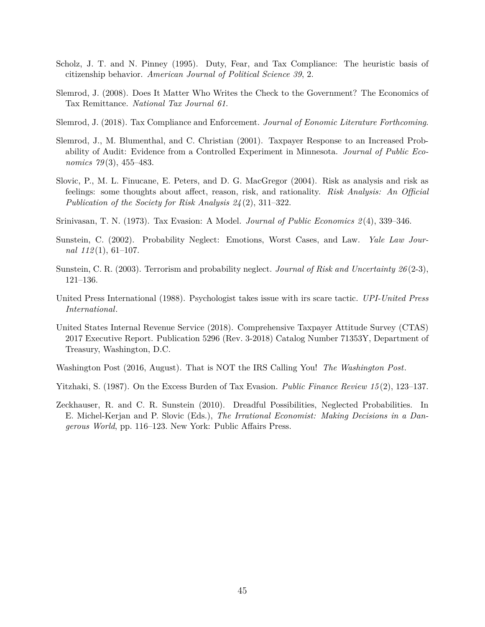- Scholz, J. T. and N. Pinney (1995). Duty, Fear, and Tax Compliance: The heuristic basis of citizenship behavior. *American Journal of Political Science 39*, 2.
- Slemrod, J. (2008). Does It Matter Who Writes the Check to the Government? The Economics of Tax Remittance. *National Tax Journal 61*.
- Slemrod, J. (2018). Tax Compliance and Enforcement. *Journal of Eonomic Literature Forthcoming*.
- Slemrod, J., M. Blumenthal, and C. Christian (2001). Taxpayer Response to an Increased Probability of Audit: Evidence from a Controlled Experiment in Minnesota. *Journal of Public Economics 79* (3), 455–483.
- Slovic, P., M. L. Finucane, E. Peters, and D. G. MacGregor (2004). Risk as analysis and risk as feelings: some thoughts about affect, reason, risk, and rationality. *Risk Analysis: An Official Publication of the Society for Risk Analysis 24* (2), 311–322.
- Srinivasan, T. N. (1973). Tax Evasion: A Model. *Journal of Public Economics 2* (4), 339–346.
- Sunstein, C. (2002). Probability Neglect: Emotions, Worst Cases, and Law. *Yale Law Journal 112* (1), 61–107.
- Sunstein, C. R. (2003). Terrorism and probability neglect. *Journal of Risk and Uncertainty 26* (2-3), 121–136.
- United Press International (1988). Psychologist takes issue with irs scare tactic. *UPI-United Press International*.
- United States Internal Revenue Service (2018). Comprehensive Taxpayer Attitude Survey (CTAS) 2017 Executive Report. Publication 5296 (Rev. 3-2018) Catalog Number 71353Y, Department of Treasury, Washington, D.C.
- Washington Post (2016, August). That is NOT the IRS Calling You! *The Washington Post*.
- Yitzhaki, S. (1987). On the Excess Burden of Tax Evasion. *Public Finance Review 15* (2), 123–137.
- Zeckhauser, R. and C. R. Sunstein (2010). Dreadful Possibilities, Neglected Probabilities. In E. Michel-Kerjan and P. Slovic (Eds.), *The Irrational Economist: Making Decisions in a Dangerous World*, pp. 116–123. New York: Public Affairs Press.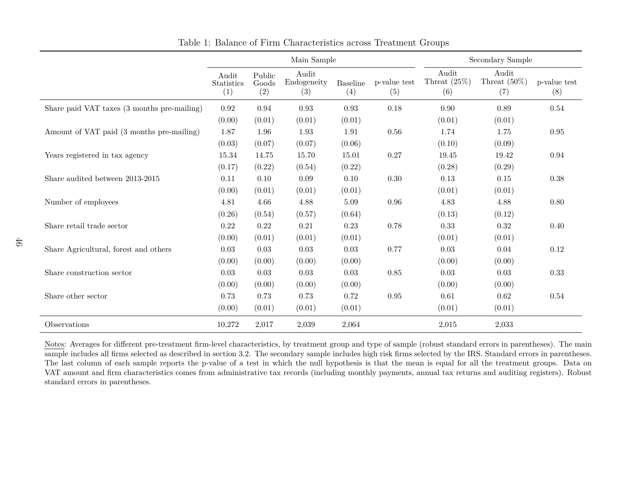|                                             | Main Sample                |                        |                             |                        | Secondary Sample    |                                 |                                 |                     |
|---------------------------------------------|----------------------------|------------------------|-----------------------------|------------------------|---------------------|---------------------------------|---------------------------------|---------------------|
|                                             | Audit<br>Statistics<br>(1) | Public<br>Goods<br>(2) | Audit<br>Endogeneity<br>(3) | <b>Baseline</b><br>(4) | p-value test<br>(5) | Audit<br>Threat $(25\%)$<br>(6) | Audit<br>Threat $(50\%)$<br>(7) | p-value test<br>(8) |
| Share paid VAT taxes (3 months pre-mailing) | 0.92                       | 0.94                   | 0.93                        | $\,0.93$               | 0.18                | 0.90                            | 0.89                            | 0.54                |
|                                             | (0.00)                     | (0.01)                 | (0.01)                      | (0.01)                 |                     | (0.01)                          | (0.01)                          |                     |
| Amount of VAT paid (3 months pre-mailing)   | 1.87                       | 1.96                   | 1.93                        | 1.91                   | 0.56                | 1.74                            | 1.75                            | 0.95                |
|                                             | (0.03)                     | (0.07)                 | (0.07)                      | (0.06)                 |                     | (0.10)                          | (0.09)                          |                     |
| Years registered in tax agency              | 15.34                      | 14.75                  | 15.70                       | 15.01                  | $0.27\,$            | 19.45                           | 19.42                           | $\rm 0.94$          |
|                                             | (0.17)                     | (0.22)                 | (0.54)                      | (0.22)                 |                     | (0.28)                          | (0.29)                          |                     |
| Share audited between 2013-2015             | 0.11                       | 0.10                   | 0.09                        | 0.10                   | $0.30\,$            | 0.13                            | $0.15\,$                        | 0.38                |
|                                             | (0.00)                     | (0.01)                 | (0.01)                      | (0.01)                 |                     | (0.01)                          | (0.01)                          |                     |
| Number of employees                         | 4.81                       | 4.66                   | 4.88                        | 5.09                   | 0.96                | 4.83                            | 4.88                            | 0.80                |
|                                             | (0.26)                     | (0.54)                 | (0.57)                      | (0.64)                 |                     | (0.13)                          | (0.12)                          |                     |
| Share retail trade sector                   | 0.22                       | 0.22                   | $0.21\,$                    | 0.23                   | 0.78                | 0.33                            | 0.32                            | 0.40                |
|                                             | (0.00)                     | (0.01)                 | (0.01)                      | (0.01)                 |                     | (0.01)                          | (0.01)                          |                     |
| Share Agricultural, forest and others       | 0.03                       | 0.03                   | 0.03                        | 0.03                   | 0.77                | 0.03                            | 0.04                            | 0.12                |
|                                             | (0.00)                     | (0.00)                 | (0.00)                      | (0.00)                 |                     | (0.00)                          | (0.00)                          |                     |
| Share construction sector                   | 0.03                       | 0.03                   | 0.03                        | 0.03                   | $0.85\,$            | 0.03                            | 0.03                            | 0.33                |
|                                             | (0.00)                     | (0.00)                 | (0.00)                      | (0.00)                 |                     | (0.00)                          | (0.00)                          |                     |
| Share other sector                          | 0.73                       | 0.73                   | 0.73                        | 0.72                   | $0.95\,$            | 0.61                            | 0.62                            | 0.54                |
|                                             | (0.00)                     | (0.01)                 | (0.01)                      | (0.01)                 |                     | (0.01)                          | (0.01)                          |                     |
| Observations                                | 10,272                     | 2,017                  | 2,039                       | 2,064                  |                     | 2,015                           | 2,033                           |                     |

Table 1: Balance of Firm Characteristics across Treatment Groups

Notes: Averages for different pre-treatment firm-level characteristics, by treatment group and type of sample (robust standard errors in parentheses). The main sample includes all firms selected as described in section 3.2. The secondary sample includes high risk firms selected by the IRS. Standard errors in parentheses. The last column of each sample reports the p-value of <sup>a</sup> test in which the null hypothesis is that the mean is equal for all the treatment groups. Data on VAT amount and firm characteristics comes from administrative tax records (including monthly payments, annual tax returns and auditing registers). Robuststandard errors in parentheses.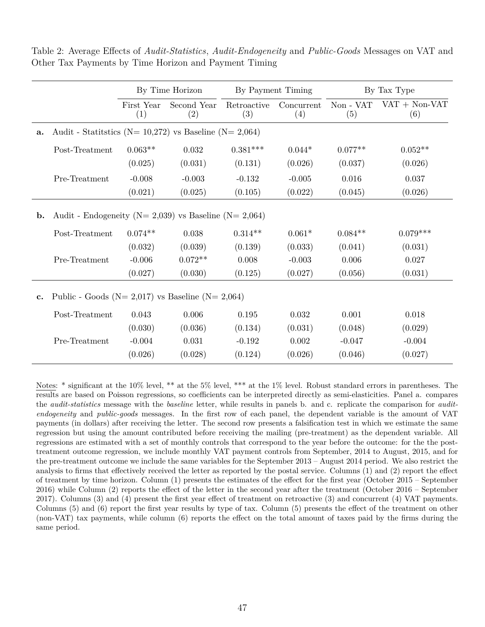|                |                                                                 | By Time Horizon   |                                          | By Payment Timing |                   | By Tax Type      |                        |  |
|----------------|-----------------------------------------------------------------|-------------------|------------------------------------------|-------------------|-------------------|------------------|------------------------|--|
|                |                                                                 | First Year<br>(1) | Retroactive<br>Second Year<br>(2)<br>(3) |                   | Concurrent<br>(4) | Non - VAT<br>(5) | $VAT + Non-VAT$<br>(6) |  |
| a.             | Audit - Statistics ( $N = 10,272$ ) vs Baseline ( $N = 2,064$ ) |                   |                                          |                   |                   |                  |                        |  |
|                | Post-Treatment                                                  | $0.063**$         | 0.032                                    | $0.381***$        | $0.044*$          | $0.077**$        | $0.052**$              |  |
|                |                                                                 | (0.025)           | (0.031)                                  | (0.131)           | (0.026)           | (0.037)          | (0.026)                |  |
|                | Pre-Treatment                                                   | $-0.008$          | $-0.003$                                 | $-0.132$          | $-0.005$          | 0.016            | 0.037                  |  |
|                |                                                                 | (0.021)           | (0.025)                                  | (0.105)           | (0.022)           | (0.045)          | (0.026)                |  |
| $\mathbf{b}$ . | Audit - Endogeneity ( $N = 2,039$ ) vs Baseline ( $N = 2,064$ ) |                   |                                          |                   |                   |                  |                        |  |
|                | Post-Treatment                                                  | $0.074**$         | 0.038                                    | $0.314**$         | $0.061*$          | $0.084**$        | $0.079***$             |  |
|                |                                                                 | (0.032)           | (0.039)                                  | (0.139)           | (0.033)           | (0.041)          | (0.031)                |  |
|                | Pre-Treatment                                                   | $-0.006$          | $0.072**$                                | 0.008             | $-0.003$          | 0.006            | 0.027                  |  |
|                |                                                                 | (0.027)           | (0.030)                                  | (0.125)           | (0.027)           | (0.056)          | (0.031)                |  |
| $\mathbf{c}$ . | Public - Goods ( $N = 2,017$ ) vs Baseline ( $N = 2,064$ )      |                   |                                          |                   |                   |                  |                        |  |
|                | Post-Treatment                                                  | 0.043             | 0.006                                    | 0.195             | 0.032             | 0.001            | 0.018                  |  |
|                |                                                                 | (0.030)           | (0.036)                                  | (0.134)           | (0.031)           | (0.048)          | (0.029)                |  |
|                | Pre-Treatment                                                   | $-0.004$          | 0.031                                    | $-0.192$          | 0.002             | $-0.047$         | $-0.004$               |  |
|                |                                                                 | (0.026)           | (0.028)                                  | (0.124)           | (0.026)           | (0.046)          | (0.027)                |  |

Table 2: Average Effects of *Audit-Statistics*, *Audit-Endogeneity* and *Public-Goods* Messages on VAT and Other Tax Payments by Time Horizon and Payment Timing

Notes: \* significant at the 10% level, \*\* at the 5% level, \*\*\* at the 1% level. Robust standard errors in parentheses. The results are based on Poisson regressions, so coefficients can be interpreted directly as semi-elasticities. Panel a. compares the *audit-statistics* message with the *baseline* letter, while results in panels b. and c. replicate the comparison for *auditendogeneity* and *public-goods* messages. In the first row of each panel, the dependent variable is the amount of VAT payments (in dollars) after receiving the letter. The second row presents a falsification test in which we estimate the same regression but using the amount contributed before receiving the mailing (pre-treatment) as the dependent variable. All regressions are estimated with a set of monthly controls that correspond to the year before the outcome: for the the posttreatment outcome regression, we include monthly VAT payment controls from September, 2014 to August, 2015, and for the pre-treatment outcome we include the same variables for the September 2013 – August 2014 period. We also restrict the analysis to firms that effectively received the letter as reported by the postal service. Columns (1) and (2) report the effect of treatment by time horizon. Column (1) presents the estimates of the effect for the first year (October 2015 – September 2016) while Column (2) reports the effect of the letter in the second year after the treatment (October 2016 – September 2017). Columns (3) and (4) present the first year effect of treatment on retroactive (3) and concurrent (4) VAT payments. Columns (5) and (6) report the first year results by type of tax. Column (5) presents the effect of the treatment on other (non-VAT) tax payments, while column (6) reports the effect on the total amount of taxes paid by the firms during the same period.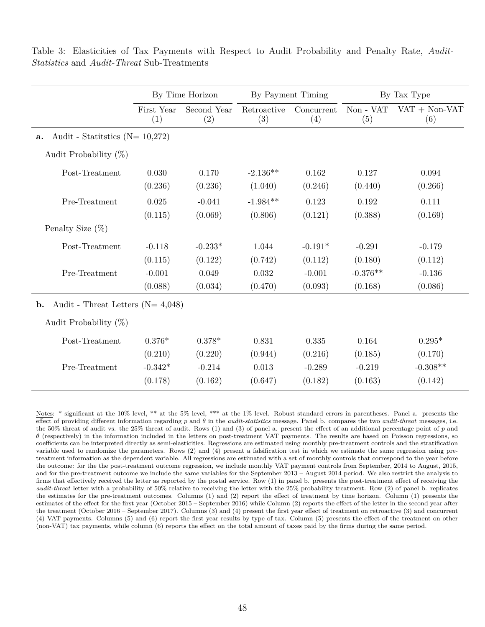|                                                          | By Time Horizon |             | By Payment Timing |            | By Tax Type |                 |
|----------------------------------------------------------|-----------------|-------------|-------------------|------------|-------------|-----------------|
|                                                          | First Year      | Second Year | Retroactive       | Concurrent | Non - VAT   | $VAT + Non-VAT$ |
|                                                          | (1)             | (2)         | (3)               | (4)        | (5)         | (6)             |
| Audit - Statitutics ( $N = 10,272$ )<br>a.               |                 |             |                   |            |             |                 |
| Audit Probability $(\%)$                                 |                 |             |                   |            |             |                 |
| Post-Treatment                                           | 0.030           | 0.170       | $-2.136**$        | 0.162      | 0.127       | 0.094           |
|                                                          | (0.236)         | (0.236)     | (1.040)           | (0.246)    | (0.440)     | (0.266)         |
| Pre-Treatment                                            | 0.025           | $-0.041$    | $-1.984**$        | 0.123      | 0.192       | 0.111           |
|                                                          | (0.115)         | (0.069)     | (0.806)           | (0.121)    | (0.388)     | (0.169)         |
| Penalty Size $(\%)$                                      |                 |             |                   |            |             |                 |
| Post-Treatment                                           | $-0.118$        | $-0.233*$   | 1.044             | $-0.191*$  | $-0.291$    | $-0.179$        |
|                                                          | (0.115)         | (0.122)     | (0.742)           | (0.112)    | (0.180)     | (0.112)         |
| Pre-Treatment                                            | $-0.001$        | 0.049       | 0.032             | $-0.001$   | $-0.376**$  | $-0.136$        |
|                                                          | (0.088)         | (0.034)     | (0.470)           | (0.093)    | (0.168)     | (0.086)         |
| Audit - Threat Letters ( $N = 4,048$ )<br>$\mathbf{b}$ . |                 |             |                   |            |             |                 |
| Audit Probability $(\%)$                                 |                 |             |                   |            |             |                 |
| Post-Treatment                                           | $0.376*$        | $0.378*$    | 0.831             | 0.335      | 0.164       | $0.295*$        |
|                                                          | (0.210)         | (0.220)     | (0.944)           | (0.216)    | (0.185)     | (0.170)         |
| Pre-Treatment                                            | $-0.342*$       | $-0.214$    | 0.013             | $-0.289$   | $-0.219$    | $-0.308**$      |
|                                                          | (0.178)         | (0.162)     | (0.647)           | (0.182)    | (0.163)     | (0.142)         |

Table 3: Elasticities of Tax Payments with Respect to Audit Probability and Penalty Rate, *Audit-Statistics* and *Audit-Threat* Sub-Treatments

Notes: \* significant at the 10% level, \*\* at the 5% level, \*\*\* at the 1% level. Robust standard errors in parentheses. Panel a. presents the effect of providing different information regarding *p* and *θ* in the *audit-statistics* message. Panel b. compares the two *audit-threat* messages, i.e. the 50% threat of audit vs. the 25% threat of audit. Rows (1) and (3) of panel a. present the effect of an additional percentage point of *p* and *θ* (respectively) in the information included in the letters on post-treatment VAT payments. The results are based on Poisson regressions, so coefficients can be interpreted directly as semi-elasticities. Regressions are estimated using monthly pre-treatment controls and the stratification variable used to randomize the parameters. Rows (2) and (4) present a falsification test in which we estimate the same regression using pretreatment information as the dependent variable. All regressions are estimated with a set of monthly controls that correspond to the year before the outcome: for the the post-treatment outcome regression, we include monthly VAT payment controls from September, 2014 to August, 2015, and for the pre-treatment outcome we include the same variables for the September 2013 – August 2014 period. We also restrict the analysis to firms that effectively received the letter as reported by the postal service. Row (1) in panel b. presents the post-treatment effect of receiving the *audit-threat* letter with a probability of 50% relative to receiving the letter with the 25% probability treatment. Row (2) of panel b. replicates the estimates for the pre-treatment outcomes. Columns (1) and (2) report the effect of treatment by time horizon. Column (1) presents the estimates of the effect for the first year (October 2015 – September 2016) while Column (2) reports the effect of the letter in the second year after the treatment (October 2016 – September 2017). Columns (3) and (4) present the first year effect of treatment on retroactive (3) and concurrent (4) VAT payments. Columns (5) and (6) report the first year results by type of tax. Column (5) presents the effect of the treatment on other (non-VAT) tax payments, while column (6) reports the effect on the total amount of taxes paid by the firms during the same period.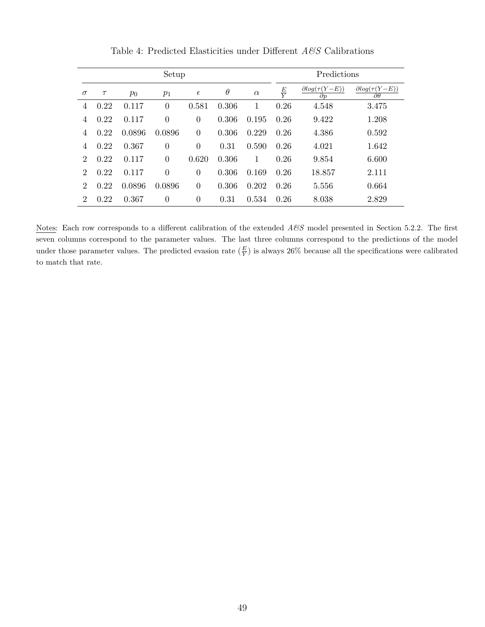| Setup          |        |        |                |            |          |          |               | Predictions                               |                                                |  |  |
|----------------|--------|--------|----------------|------------|----------|----------|---------------|-------------------------------------------|------------------------------------------------|--|--|
| $\sigma$       | $\tau$ | $p_0$  | $p_1$          | $\epsilon$ | $\theta$ | $\alpha$ | $\frac{E}{Y}$ | $\partial log(\tau(Y-E))$<br>$\partial p$ | $\partial log(\tau(Y-E))$<br>$\partial \theta$ |  |  |
| 4              | 0.22   | 0.117  | $\overline{0}$ | 0.581      | 0.306    | 1        | 0.26          | 4.548                                     | 3.475                                          |  |  |
| 4              | 0.22   | 0.117  | $\overline{0}$ | $\Omega$   | 0.306    | 0.195    | 0.26          | 9.422                                     | 1.208                                          |  |  |
| 4              | 0.22   | 0.0896 | 0.0896         | $\theta$   | 0.306    | 0.229    | 0.26          | 4.386                                     | 0.592                                          |  |  |
| 4              | 0.22   | 0.367  | $\overline{0}$ | $\theta$   | 0.31     | 0.590    | 0.26          | 4.021                                     | 1.642                                          |  |  |
| 2              | 0.22   | 0.117  | $\overline{0}$ | 0.620      | 0.306    | 1        | 0.26          | 9.854                                     | 6.600                                          |  |  |
| $\overline{2}$ | 0.22   | 0.117  | $\overline{0}$ | $\theta$   | 0.306    | 0.169    | 0.26          | 18.857                                    | 2.111                                          |  |  |
| $\overline{2}$ | 0.22   | 0.0896 | 0.0896         | $\theta$   | 0.306    | 0.202    | 0.26          | 5.556                                     | 0.664                                          |  |  |
| $\overline{2}$ | 0.22   | 0.367  | $\overline{0}$ | $\Omega$   | 0.31     | 0.534    | 0.26          | 8.038                                     | 2.829                                          |  |  |

Table 4: Predicted Elasticities under Different *A&S* Calibrations

Notes: Each row corresponds to a different calibration of the extended *A&S* model presented in Section 5.2.2. The first seven columns correspond to the parameter values. The last three columns correspond to the predictions of the model under those parameter values. The predicted evasion rate  $(\frac{E}{Y})$  is always 26% because all the specifications were calibrated to match that rate.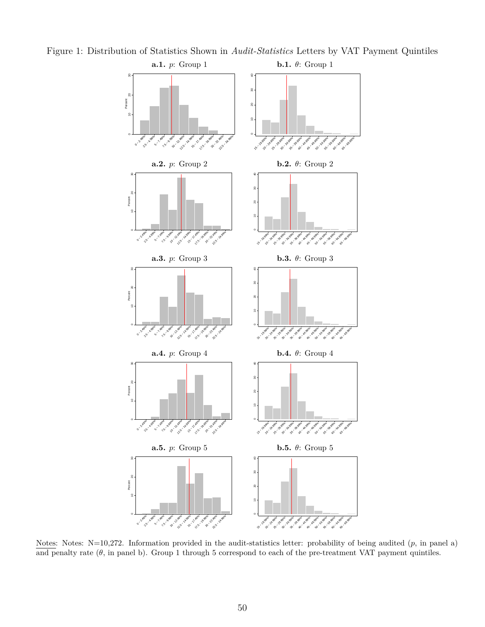

Figure 1: Distribution of Statistics Shown in *Audit-Statistics* Letters by VAT Payment Quintiles

Notes: Notes: N=10,272. Information provided in the audit-statistics letter: probability of being audited (*p*, in panel a) and penalty rate  $(\theta)$ , in panel b). Group 1 through 5 correspond to each of the pre-treatment VAT payment quintiles.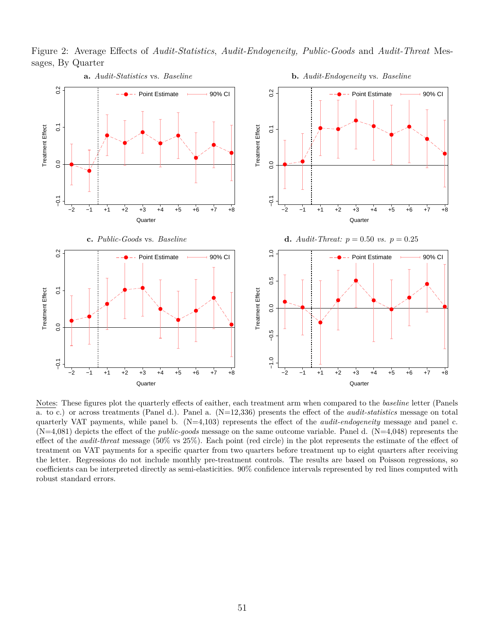Figure 2: Average Effects of *Audit-Statistics*, *Audit-Endogeneity, Public-Goods* and *Audit-Threat* Messages, By Quarter



Notes: These figures plot the quarterly effects of eaither, each treatment arm when compared to the *baseline* letter (Panels a. to c.) or across treatments (Panel d.). Panel a. (N=12,336) presents the effect of the *audit-statistics* message on total quarterly VAT payments, while panel b. (N=4,103) represents the effect of the *audit-endogeneity* message and panel c.  $(N=4,081)$  depicts the effect of the *public-goods* message on the same outcome variable. Panel d.  $(N=4,048)$  represents the effect of the *audit-threat* message (50% vs 25%). Each point (red circle) in the plot represents the estimate of the effect of treatment on VAT payments for a specific quarter from two quarters before treatment up to eight quarters after receiving the letter. Regressions do not include monthly pre-treatment controls. The results are based on Poisson regressions, so coefficients can be interpreted directly as semi-elasticities. 90% confidence intervals represented by red lines computed with robust standard errors.